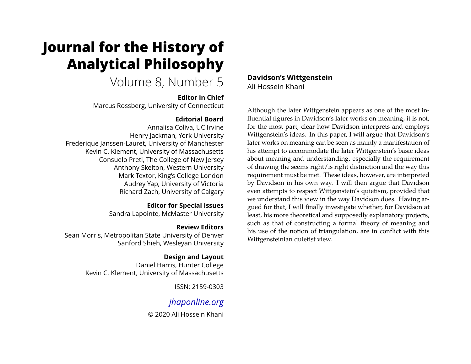# **Journal for the History of Analytical Philosophy**

# Volume 8, Number 5

### **Editor in Chief**

Marcus Rossberg, University of Connecticut

# **Editorial Board**

Annalisa Coliva, UC Irvine Henry Jackman, York University Frederique Janssen-Lauret, University of Manchester Kevin C. Klement, University of Massachusetts Consuelo Preti, The College of New Jersey Anthony Skelton, Western University Mark Textor, King's College London Audrey Yap, University of Victoria Richard Zach, University of Calgary

# **Editor for Special Issues**

Sandra Lapointe, McMaster University

# **Review Editors**

Sean Morris, Metropolitan State University of Denver Sanford Shieh, Wesleyan University

# **Design and Layout**

Daniel Harris, Hunter College Kevin C. Klement, University of Massachusetts

ISSN: 2159-0303

# *[jhaponline.org](https://jhaponline.org)*

© 2020 Ali Hossein Khani

# **Davidson's Wittgenstein** Ali Hossein Khani

Although the later Wittgenstein appears as one of the most influential figures in Davidson's later works on meaning, it is not, for the most part, clear how Davidson interprets and employs Wittgenstein's ideas. In this paper, I will argue that Davidson's later works on meaning can be seen as mainly a manifestation of his attempt to accommodate the later Wittgenstein's basic ideas about meaning and understanding, especially the requirement of drawing the seems right/is right distinction and the way this requirement must be met. These ideas, however, are interpreted by Davidson in his own way. I will then argue that Davidson even attempts to respect Wittgenstein's quietism, provided that we understand this view in the way Davidson does. Having argued for that, I will finally investigate whether, for Davidson at least, his more theoretical and supposedly explanatory projects, such as that of constructing a formal theory of meaning and his use of the notion of triangulation, are in conflict with this Wittgensteinian quietist view.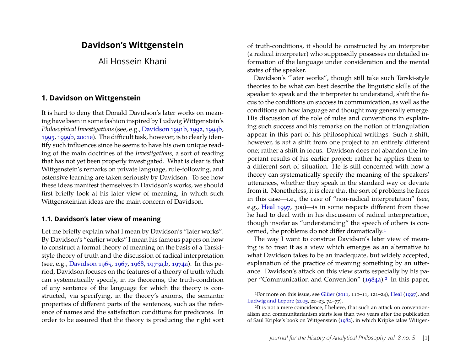# **Davidson's Wittgenstein**

Ali Hossein Khani

#### **1. Davidson on Wittgenstein**

It is hard to deny that Donald Davidson's later works on meaning have been in some fashion inspired by Ludwig Wittgenstein's *Philosophical Investigations*(see, e.g., [Davidson 1991b,](#page-23-0) [1992,](#page-23-1) [1994b,](#page-23-2) [1995,](#page-23-3) [1999b,](#page-24-0) [2001e\)](#page-24-1). The difficult task, however, is to clearly identify such influences since he seems to have his own unique reading of the main doctrines of the *Investigations*, a sort of reading that has not yet been properly investigated. What is clear is that Wittgenstein's remarks on private language, rule-following, and ostensive learning are taken seriously by Davidson. To see how these ideas manifest themselves in Davidson's works, we should first briefly look at his later view of meaning, in which such Wittgensteinian ideas are the main concern of Davidson.

#### <span id="page-1-2"></span>**1.1. Davidson's later view of meaning**

Let me briefly explain what I mean by Davidson's "later works". By Davidson's "earlier works" I mean his famous papers on how to construct a formal theory of meaning on the basis of a Tarskistyle theory of truth and the discussion of radical interpretation (see, e.g., [Davidson 1965,](#page-22-0) [1967,](#page-22-1) [1968,](#page-22-2) [1973a,](#page-22-3)[b,](#page-22-4) [1974a\)](#page-22-5). In this period, Davidson focuses on the features of a theory of truth which can systematically specify, in its theorems, the truth-condition of any sentence of the language for which the theory is constructed, via specifying, in the theory's axioms, the semantic properties of different parts of the sentences, such as the reference of names and the satisfaction conditions for predicates. In order to be assured that the theory is producing the right sort of truth-conditions, it should be constructed by an interpreter (a radical interpreter) who supposedly possesses no detailed information of the language under consideration and the mental states of the speaker.

Davidson's "later works", though still take such Tarski-style theories to be what can best describe the linguistic skills of the speaker to speak and the interpreter to understand, shift the focus to the conditions on success in communication, as well as the conditions on how language and thought may generally emerge. His discussion of the role of rules and conventions in explaining such success and his remarks on the notion of triangulation appear in this part of his philosophical writings. Such a shift, however, is *not* a shift from one project to an entirely different one; rather a shift in focus. Davidson does not abandon the important results of his earlier project; rather he applies them to a different sort of situation. He is still concerned with how a theory can systematically specify the meaning of the speakers' utterances, whether they speak in the standard way or deviate from it. Nonetheless, it is clear that the sort of problems he faces in this case—i.e., the case of "non-radical interpretation" (see, e.g., [Heal 1997,](#page-24-2) 300)—is in some respects different from those he had to deal with in his discussion of radical interpretation, though insofar as "understanding" the speech of others is concerned, the problems do not differ dramatically.[1](#page-1-0)

The way I want to construe Davidson's later view of meaning is to treat it as a view which emerges as an alternative to what Davidson takes to be an inadequate, but widely accepted, explanation of the practice of meaning something by an utterance. Davidson's attack on this view starts especially by his pa-per "Communication and Convention" [\(1984a\)](#page-22-6).<sup>[2](#page-1-1)</sup> In this paper,

<span id="page-1-0"></span><sup>1</sup>For more on this issue, see [Glüer](#page-24-3) [\(2011,](#page-24-3) 110–11, 121–24), [Heal](#page-24-2) [\(1997\)](#page-24-2), and [Ludwig and Lepore](#page-25-0) [\(2005,](#page-25-0) 22–23, 74–77).

<span id="page-1-1"></span><sup>2</sup>It is not a mere coincidence, I believe, that such an attack on conventionalism and communitarianism starts less than two years after the publication of Saul Kripke's book on Wittgenstein [\(1982\)](#page-25-1), in which Kripke takes Wittgen-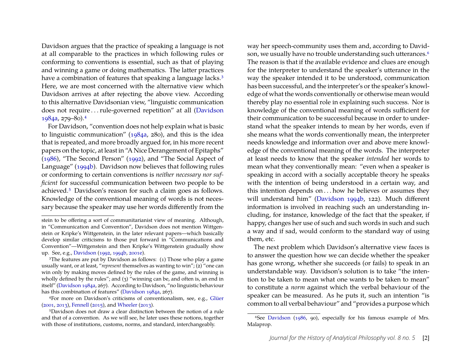Davidson argues that the practice of speaking a language is not at all comparable to the practices in which following rules or conforming to conventions is essential, such as that of playing and winning a game or doing mathematics. The latter practices have a combination of features that speaking a language lacks.<sup>[3](#page-2-0)</sup> Here, we are most concerned with the alternative view which Davidson arrives at after rejecting the above view. According to this alternative Davidsonian view, "linguistic communication does not require . . . rule-governed repetition" at all [\(Davidson](#page-22-6) [1984a,](#page-22-6) 279–80).[4](#page-2-1)

For Davidson, "convention does not help explain what is basic to linguistic communication" [\(1984a,](#page-22-6) 280), and this is the idea that is repeated, and more broadly argued for, in his more recent papers on the topic, at least in "A Nice Derangement of Epitaphs" [\(1986\)](#page-22-7), "The Second Person" [\(1992\)](#page-23-1), and "The Social Aspect of Language" [\(1994b\)](#page-23-2). Davidson now believes that following rules or conforming to certain conventions is *neither necessary nor sufficient* for successful communication between two people to be achieved.[5](#page-2-2) Davidson's reason for such a claim goes as follows. Knowledge of the conventional meaning of words is not necessary because the speaker may use her words differently from the

<span id="page-2-1"></span>4For more on Davidson's criticisms of conventionalism, see, e.g., [Glüer](#page-24-4) [\(2001,](#page-24-4) [2013\)](#page-24-5), [Fennell](#page-24-6) [\(2015\)](#page-24-6), and [Wheeler](#page-26-0) [\(2013\)](#page-26-0).

way her speech-community uses them and, according to David-son, we usually have no trouble understanding such utterances.<sup>[6](#page-2-3)</sup> The reason is that if the available evidence and clues are enough for the interpreter to understand the speaker's utterance in the way the speaker intended it to be understood, communication has been successful, and the interpreter's or the speaker's knowledge of what the words conventionally or otherwise mean would thereby play no essential role in explaining such success. Nor is knowledge of the conventional meaning of words sufficient for their communication to be successful because in order to understand what the speaker intends to mean by her words, even if she means what the words conventionally mean, the interpreter needs knowledge and information over and above mere knowledge of the conventional meaning of the words. The interpreter at least needs to know that the speaker *intended* her words to mean what they conventionally mean: "even when a speaker is speaking in accord with a socially acceptable theory he speaks with the intention of being understood in a certain way, and this intention depends on . . . how he believes or assumes they will understand him" [\(Davidson 1994b,](#page-23-2) 122). Much different information is involved in reaching such an understanding including, for instance, knowledge of the fact that the speaker, if happy, changes her use of such and such words in such and such a way and if sad, would conform to the standard way of using them, etc.

The next problem which Davidson's alternative view faces is to answer the question how we can decide whether the speaker has gone wrong, whether she succeeds (or fails) to speak in an understandable way. Davidson's solution is to take "the intention to be taken to mean what one wants to be taken to mean" to constitute a *norm* against which the verbal behaviour of the speaker can be measured. As he puts it, such an intention "is common to all verbal behaviour" and "provides a purpose which

stein to be offering a sort of communitarianist view of meaning. Although, in "Communication and Convention", Davidson does not mention Wittgenstein or Kripke's Wittgenstein, in the later relevant papers—which basically develop similar criticisms to those put forward in "Communications and Convention"—Wittgenstein and then Kripke's Wittgenstein gradually show up. See, e.g., [Davidson](#page-23-1) [\(1992,](#page-23-1) [1994b,](#page-23-2) [2001e\)](#page-24-1).

<span id="page-2-0"></span><sup>&</sup>lt;sup>3</sup>The features are put by Davidson as follows: (1) Those who play a game usually want, or at least, "*represent* themselves as wanting to win"; (2) "one can win only by making moves defined by the rules of the game, and winning is wholly defined by the rules"; and (3) "winning can be, and often is, an end in itself" [\(Davidson 1984a,](#page-22-6) 267). According to Davidson, "no linguistic behaviour has this combination of features" [\(Davidson 1984a,](#page-22-6) 267).

<span id="page-2-2"></span><sup>5</sup>Davidson does not draw a clear distinction between the notion of a rule and that of a convention. As we will see, he later uses these notions, together with those of institutions, customs, norms, and standard, interchangeably.

<span id="page-2-3"></span><sup>6</sup>See [Davidson](#page-22-7) [\(1986,](#page-22-7) 90), especially for his famous example of Mrs. Malaprop.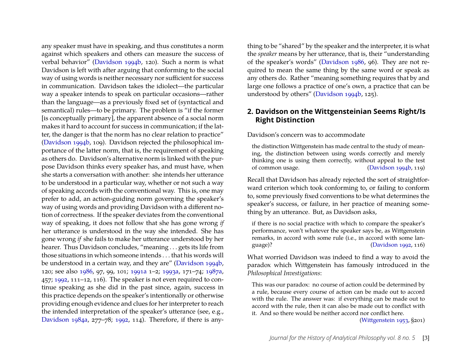any speaker must have in speaking, and thus constitutes a norm against which speakers and others can measure the success of verbal behavior" [\(Davidson 1994b,](#page-23-2) 120). Such a norm is what Davidson is left with after arguing that conforming to the social way of using words is neither necessary nor sufficient for success in communication. Davidson takes the idiolect—the particular way a speaker intends to speak on particular occasions—rather than the language—as a previously fixed set of (syntactical and semantical) rules—to be primary. The problem is "if the former [is conceptually primary], the apparent absence of a social norm makes it hard to account for success in communication; if the latter, the danger is that the norm has no clear relation to practice" [\(Davidson 1994b,](#page-23-2) 109). Davidson rejected the philosophical importance of the latter norm, that is, the requirement of speaking as others do. Davidson's alternative norm is linked with the purpose Davidson thinks every speaker has, and must have, when she starts a conversation with another: she intends her utterance to be understood in a particular way, whether or not such a way of speaking accords with the conventional way. This is, one may prefer to add, an action-guiding norm governing the speaker's way of using words and providing Davidson with a different notion of correctness. If the speaker deviates from the conventional way of speaking, it does not follow that she has gone wrong *if* her utterance is understood in the way she intended. She has gone wrong *if* she fails to make her utterance understood by her hearer. Thus Davidson concludes, "meaning . . . gets its life from those situations in which someone intends . . . that his words will be understood in a certain way, and they are" [\(Davidson 1994b,](#page-23-2) 120; see also [1986,](#page-22-7) 97, 99, 101; [1991a](#page-23-4) 1–2; [1993a,](#page-23-5) 171–74; [1987a,](#page-22-8) 457; [1992,](#page-23-1) 111–12, 116). The speaker is not even required to continue speaking as she did in the past since, again, success in this practice depends on the speaker's intentionally or otherwise providing enough evidence and clues for her interpreter to reach the intended interpretation of the speaker's utterance (see, e.g., [Davidson 1984a,](#page-22-6) 277–78; [1992,](#page-23-1) 114). Therefore, if there is any-

thing to be "shared" by the speaker and the interpreter, it is what the *speaker* means by her utterance, that is, their "understanding of the speaker's words" [\(Davidson 1986,](#page-22-7) 96). They are not required to mean the same thing by the same word or speak as any others do. Rather "meaning something requires that by and large one follows a practice of one's own, a practice that can be understood by others" [\(Davidson 1994b,](#page-23-2) 125).

### **2. Davidson on the Wittgensteinian Seems Right/Is Right Distinction**

#### Davidson's concern was to accommodate

the distinction Wittgenstein has made central to the study of meaning, the distinction between using words correctly and merely thinking one is using them correctly, without appeal to the test of common usage. [\(Davidson 1994b,](#page-23-2) 119)

Recall that Davidson has already rejected the sort of straightforward criterion which took conforming to, or failing to conform to, some previously fixed conventions to be what determines the speaker's success, or failure, in her practice of meaning something by an utterance. But, as Davidson asks,

if there is no social practice with which to compare the speaker's performance, won't whatever the speaker says be, as Wittgenstein remarks, in accord with some rule (i.e., in accord with some language)? [\(Davidson 1992,](#page-23-1) 116)

What worried Davidson was indeed to find a way to avoid the paradox which Wittgenstein has famously introduced in the *Philosophical Investigations*:

This was our paradox: no course of action could be determined by a rule, because every course of action can be made out to accord with the rule. The answer was: if everything can be made out to accord with the rule, then it can also be made out to conflict with it. And so there would be neither accord nor conflict here.

[\(Wittgenstein 1953,](#page-26-1) §201)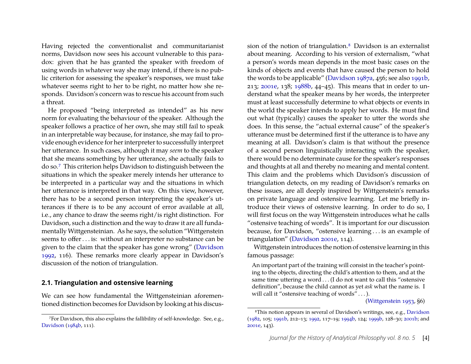Having rejected the conventionalist and communitarianist norms, Davidson now sees his account vulnerable to this paradox: given that he has granted the speaker with freedom of using words in whatever way she may intend, if there is no public criterion for assessing the speaker's responses, we must take whatever seems right to her to be right, no matter how she responds. Davidson's concern was to rescue his account from such a threat.

He proposed "being interpreted as intended" as his new norm for evaluating the behaviour of the speaker. Although the speaker follows a practice of her own, she may still fail to speak in an interpretable way because, for instance, she may fail to provide enough evidence for her interpreter to successfully interpret her utterance. In such cases, although it may *seem* to the speaker that she means something by her utterance, she actually fails to do so.[7](#page-4-0) This criterion helps Davidson to distinguish between the situations in which the speaker merely intends her utterance to be interpreted in a particular way and the situations in which her utterance is interpreted in that way. On this view, however, there has to be a second person interpreting the speaker's utterances if there is to be any account of error available at all, i.e., any chance to draw the seems right/is right distinction. For Davidson, such a distinction and the way to draw it are all fundamentally Wittgensteinian. As he says, the solution "Wittgenstein seems to offer . . . is: without an interpreter no substance can be given to the claim that the speaker has gone wrong" [\(Davidson](#page-23-1) [1992,](#page-23-1) 116). These remarks more clearly appear in Davidson's discussion of the notion of triangulation.

#### <span id="page-4-2"></span>**2.1. Triangulation and ostensive learning**

We can see how fundamental the Wittgensteinian aforementioned distinction becomes for Davidson by looking at his discus-

sion of the notion of triangulation.[8](#page-4-1) Davidson is an externalist about meaning. According to his version of externalism, "what a person's words mean depends in the most basic cases on the kinds of objects and events that have caused the person to hold the words to be applicable" [\(Davidson 1987a,](#page-22-8) 456; see also [1991b,](#page-23-0) 213; [2001e,](#page-24-1) 138; [1988b,](#page-23-6) 44–45). This means that in order to understand what the speaker means by her words, the interpreter must at least successfully determine to what objects or events in the world the speaker intends to apply her words. He must find out what (typically) causes the speaker to utter the words she does. In this sense, the "actual external cause" of the speaker's utterance must be determined first if the utterance is to have any meaning at all. Davidson's claim is that without the presence of a second person linguistically interacting with the speaker, there would be no determinate cause for the speaker's responses and thoughts at all and thereby no meaning and mental content. This claim and the problems which Davidson's discussion of triangulation detects, on my reading of Davidson's remarks on these issues, are all deeply inspired by Wittgenstein's remarks on private language and ostensive learning. Let me briefly introduce their views of ostensive learning. In order to do so, I will first focus on the way Wittgenstein introduces what he calls "ostensive teaching of words". It is important for our discussion because, for Davidson, "ostensive learning . . . is an example of triangulation" [\(Davidson 2001e,](#page-24-1) 114).

Wittgenstein introduces the notion of ostensive learning in this famous passage:

An important part of the training will consist in the teacher's pointing to the objects, directing the child's attention to them, and at the same time uttering a word . . . (I do not want to call this "ostensive definition", because the child cannot as yet *ask* what the name is. I will call it "ostensive teaching of words" . . . ).

[\(Wittgenstein 1953,](#page-26-1) §6)

<span id="page-4-0"></span><sup>7</sup>For Davidson, this also explains the fallibility of self-knowledge. See, e.g., [Davidson](#page-22-9) [\(1984b,](#page-22-9) 111).

<span id="page-4-1"></span><sup>8</sup>This notion appears in several of Davidson's writings, see, e.g., [Davidson](#page-22-10) [\(1982,](#page-22-10) 105; [1991b,](#page-23-0) 212–13; [1992,](#page-23-1) 117–19; [1994b,](#page-23-2) 124; [1999b,](#page-24-0) 128–30; [2001b;](#page-24-7) and [2001e,](#page-24-1) 143).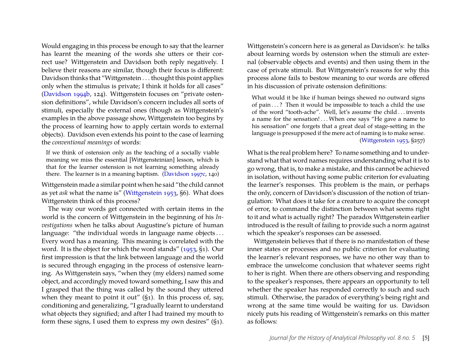Would engaging in this process be enough to say that the learner has learnt the meaning of the words she utters or their correct use? Wittgenstein and Davidson both reply negatively. I believe their reasons are similar, though their focus is different: Davidson thinks that "Wittgenstein . . . thought this point applies only when the stimulus is private; I think it holds for all cases" [\(Davidson 1994b,](#page-23-2) 124). Wittgenstein focuses on "private ostension definitions", while Davidson's concern includes all sorts of stimuli, especially the external ones (though as Wittgenstein's examples in the above passage show, Wittgenstein too begins by the process of learning how to apply certain words to external objects). Davidson even extends his point to the case of learning the *conventional meanings* of words:

If we think of ostension only as the teaching of a socially viable meaning we miss the essential [Wittgensteinian] lesson, which is that for the learner ostension is not learning something already there. The learner is in a meaning baptism. [\(Davidson 1997c,](#page-23-7) 140)

Wittgenstein made a similar point when he said "the child cannot as yet *ask* what the name is" [\(Wittgenstein 1953,](#page-26-1) §6). What does Wittgenstein think of this process?

The way our words get connected with certain items in the world is the concern of Wittgenstein in the beginning of his *Investigations* when he talks about Augustine's picture of human language: "the individual words in language name objects... Every word has a meaning. This meaning is correlated with the word. It is the object for which the word stands" [\(1953,](#page-26-1) §1). Our first impression is that the link between language and the world is secured through engaging in the process of ostensive learning. As Wittgenstein says, "when they (my elders) named some object, and accordingly moved toward something, I saw this and I grasped that the thing was called by the sound they uttered when they meant to point it out"  $(S_1)$ . In this process of, say, conditioning and generalizing, "I gradually learnt to understand what objects they signified; and after I had trained my mouth to form these signs, I used them to express my own desires" (§1).

Wittgenstein's concern here is as general as Davidson's: he talks about learning words by ostension when the stimuli are external (observable objects and events) and then using them in the case of private stimuli. But Wittgenstein's reasons for why this process alone fails to bestow meaning to our words are offered in his discussion of private ostension definitions:

What would it be like if human beings shewed no outward signs of pain . . . ? Then it would be impossible to teach a child the use of the word "tooth-ache". Well, let's assume the child . . . invents a name for the sensation! . . . When one says "He gave a name to his sensation" one forgets that a great deal of stage-setting in the language is presupposed if the mere act of naming is to make sense. [\(Wittgenstein 1953,](#page-26-1) §257)

What is the real problem here? To name something and to understand what that word names requires understanding what it is to go wrong, that is, to make a mistake, and this cannot be achieved in isolation, without having some public criterion for evaluating the learner's responses. This problem is the main, or perhaps the only, concern of Davidson's discussion of the notion of triangulation: What does it take for a creature to acquire the concept of error, to command the distinction between what seems right to it and what is actually right? The paradox Wittgenstein earlier introduced is the result of failing to provide such a norm against which the speaker's responses can be assessed.

Wittgenstein believes that if there is no manifestation of these inner states or processes and no public criterion for evaluating the learner's relevant responses, we have no other way than to embrace the unwelcome conclusion that whatever seems right to her is right. When there are others observing and responding to the speaker's responses, there appears an opportunity to tell whether the speaker has responded correctly to such and such stimuli. Otherwise, the paradox of everything's being right and wrong at the same time would be waiting for us. Davidson nicely puts his reading of Wittgenstein's remarks on this matter as follows: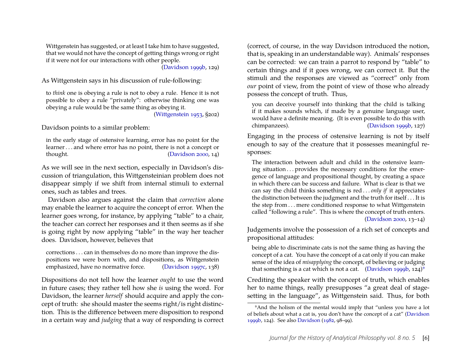Wittgenstein has suggested, or at least I take him to have suggested, that we would not have the concept of getting things wrong or right if it were not for our interactions with other people.

[\(Davidson 1999b,](#page-24-0) 129)

As Wittgenstein says in his discussion of rule-following:

to *think* one is obeying a rule is not to obey a rule. Hence it is not possible to obey a rule "privately": otherwise thinking one was obeying a rule would be the same thing as obeying it.

[\(Wittgenstein 1953,](#page-26-1) §202)

Davidson points to a similar problem:

in the early stage of ostensive learning, error has no point for the learner . . . and where error has no point, there is not a concept or thought. [\(Davidson 2000,](#page-24-8) 14)

As we will see in the next section, especially in Davidson's discussion of triangulation, this Wittgensteinian problem does not disappear simply if we shift from internal stimuli to external ones, such as tables and trees.

Davidson also argues against the claim that *correction* alone may enable the learner to acquire the concept of error. When the learner goes wrong, for instance, by applying "table" to a chair, the teacher can correct her responses and it then seems as if she is going right by now applying "table" in the way her teacher does. Davidson, however, believes that

corrections . . . can in themselves do no more than improve the dispositions we were born with, and dispositions, as Wittgenstein emphasized, have no normative force. [\(Davidson 1997c,](#page-23-7) 138)

Dispositions do not tell how the learner *ought* to use the word in future cases; they rather tell how she *is* using the word. For Davidson, the learner *herself* should acquire and apply the concept of truth: she should master the seems right/is right distinction. This is the difference between mere disposition to respond in a certain way and *judging* that a way of responding is correct

(correct, of course, in the way Davidson introduced the notion, that is, speaking in an understandable way). Animals' responses can be corrected: we can train a parrot to respond by "table" to certain things and if it goes wrong, we can correct it. But the stimuli and the responses are viewed as "correct" only from *our* point of view, from the point of view of those who already possess the concept of truth. Thus,

you can deceive yourself into thinking that the child is talking if it makes sounds which, if made by a genuine language user, would have a definite meaning. (It is even possible to do this with chimpanzees). [\(Davidson 1999b,](#page-24-0) 127)

Engaging in the process of ostensive learning is not by itself enough to say of the creature that it possesses meaningful responses:

The interaction between adult and child in the ostensive learning situation ... provides the necessary conditions for the emergence of language and propositional thought, by creating a space in which there can be success and failure. What is clear is that we can say the child thinks something is red . . . *only if* it appreciates the distinction between the judgment and the truth for itself . . . It is the step from . . . mere conditioned response to what Wittgenstein called "following a rule". This is where the concept of truth enters. [\(Davidson 2000,](#page-24-8) 13–14)

Judgements involve the possession of a rich set of concepts and propositional attitudes:

being able to discriminate cats is not the same thing as having the concept of a cat. You have the concept of a cat only if you can make sense of the idea of *misapplying* the concept, of believing or judging that something is a cat which is not a cat. [\(Davidson 1999b,](#page-24-0) 124)<sup>[9](#page-6-0)</sup>

Crediting the speaker with the concept of truth, which enables her to name things, really presupposes "a great deal of stagesetting in the language", as Wittgenstein said. Thus, for both

<span id="page-6-0"></span><sup>9</sup>And the holism of the mental would imply that "unless you have a lot of beliefs about what a cat is, you don't have the concept of a cat" [\(Davidson](#page-24-0) [1999b,](#page-24-0) 124). See also [Davidson](#page-22-10) [\(1982,](#page-22-10) 98–99).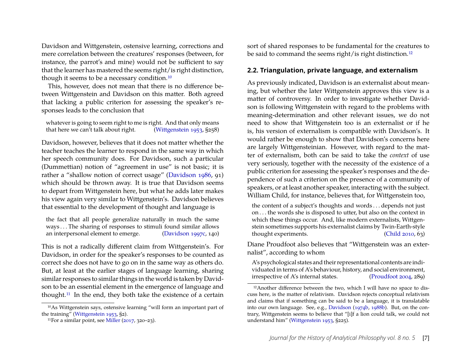Davidson and Wittgenstein, ostensive learning, corrections and mere correlation between the creatures' responses (between, for instance, the parrot's and mine) would not be sufficient to say that the learner has mastered the seems right/is right distinction, though it seems to be a necessary condition.<sup>[10](#page-7-0)</sup>

This, however, does not mean that there is no difference between Wittgenstein and Davidson on this matter. Both agreed that lacking a public criterion for assessing the speaker's responses leads to the conclusion that

whatever is going to seem right to me is right. And that only means that here we can't talk about right. [\(Wittgenstein 1953,](#page-26-1) §258)

Davidson, however, believes that it does not matter whether the teacher teaches the learner to respond in the same way in which her speech community does. For Davidson, such a particular (Dummettian) notion of "agreement in use" is not basic; it is rather a "shallow notion of correct usage" [\(Davidson 1986,](#page-22-7) 91) which should be thrown away. It is true that Davidson seems to depart from Wittgenstein here, but what he adds later makes his view again very similar to Wittgenstein's. Davidson believes that essential to the development of thought and language is

the fact that all people generalize naturally in much the same ways . . . The sharing of responses to stimuli found similar allows an interpersonal element to emerge. [\(Davidson 1997c,](#page-23-7) 140)

This is not a radically different claim from Wittgenstein's. For Davidson, in order for the speaker's responses to be counted as correct she does not have to go on in the same way as others do. But, at least at the earlier stages of language learning, sharing similar responses to similar things in the world is taken by Davidson to be an essential element in the emergence of language and thought.[11](#page-7-1) In the end, they both take the existence of a certain

<span id="page-7-0"></span>10As Wittgenstein says, ostensive learning "will form an important part of the training" [\(Wittgenstein 1953,](#page-26-1) §2).

sort of shared responses to be fundamental for the creatures to be said to command the seems right/is right distinction.<sup>[12](#page-7-2)</sup>

#### **2.2. Triangulation, private language, and externalism**

As previously indicated, Davidson is an externalist about meaning, but whether the later Wittgenstein approves this view is a matter of controversy. In order to investigate whether Davidson is following Wittgenstein with regard to the problems with meaning-determination and other relevant issues, we do not need to show that Wittgenstein too is an externalist or if he is, his version of externalism is compatible with Davidson's. It would rather be enough to show that Davidson's concerns here are largely Wittgensteinian. However, with regard to the matter of externalism, both can be said to take the *context* of use very seriously, together with the necessity of the existence of a public criterion for assessing the speaker's responses and the dependence of such a criterion on the presence of a community of speakers, or at least another speaker, interacting with the subject. William Child, for instance, believes that, for Wittgenstein too,

the content of a subject's thoughts and words . . . depends not just on . . . the words she is disposed to utter, but also on the context in which these things occur. And, like modern externalists, Wittgenstein sometimes supports his externalist claims by Twin-Earth-style thought experiments. [\(Child 2010,](#page-22-11) 63)

Diane Proudfoot also believes that "Wittgenstein was an externalist", according to whom

A's psychological states and their representational contents are individuated in terms of A's behaviour, history, and social environment, irrespective of A's internal states. [\(Proudfoot 2004,](#page-26-2) 289)

<span id="page-7-1"></span><sup>&</sup>lt;sup>11</sup>For a similar point, see [Miller](#page-25-2)  $(2017, 320-23)$  $(2017, 320-23)$ .

<span id="page-7-2"></span><sup>12</sup>Another difference between the two, which I will have no space to discuss here, is the matter of relativism. Davidson rejects conceptual relativism and claims that if something can be said to be a language, it is translatable into our own language. See, e.g., [Davidson](#page-22-12) [\(1974b,](#page-22-12) [1988b\)](#page-23-6). But, on the contrary, Wittgenstein seems to believe that "[i]f a lion could talk, we could not understand him" [\(Wittgenstein 1953,](#page-26-1) §225).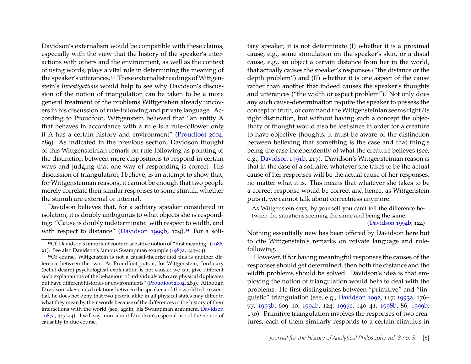Davidson's externalism would be compatible with these claims, especially with the view that the history of the speaker's interactions with others and the environment, as well as the context of using words, plays a vital role in determining the meaning of the speaker's utterances.<sup>[13](#page-8-0)</sup> These externalist readings of Wittgenstein's *Investigations* would help to see why Davidson's discussion of the notion of triangulation can be taken to be a more general treatment of the problems Wittgenstein already uncovers in his discussion of rule-following and private language. According to Proudfoot, Wittgenstein believed that "an entity A that behaves in accordance with a rule is a rule-follower only if A has a certain history and environment" [\(Proudfoot 2004,](#page-26-2) 289). As indicated in the previous section, Davidson thought of this Wittgensteinian remark on rule-following as pointing to the distinction between mere dispositions to respond in certain ways and judging that one way of responding is correct. His discussion of triangulation, I believe, is an attempt to show that, for Wittgensteinian reasons, it cannot be enough that two people merely correlate their similar responses to some stimuli, whether the stimuli are external or internal.

Davidson believes that, for a solitary speaker considered in isolation, it is doubly ambiguous to what objects she is responding: "Cause is doubly indeterminate: with respect to width, and with respect to distance" [\(Davidson 1999b,](#page-24-0) 129).<sup>[14](#page-8-1)</sup> For a soli-

tary speaker, it is not determinate (I) whether it is a proximal cause, e.g., some stimulation on the speaker's skin, or a distal cause, e.g., an object a certain distance from her in the world, that actually causes the speaker's responses ("the distance or the depth problem") and (II) whether it is one aspect of the cause rather than another that indeed causes the speaker's thoughts and utterances ("the width or aspect problem"). Not only does any such cause-determination require the speaker to possess the concept of truth, or command the Wittgensteinian seems right/is right distinction, but without having such a concept the objectivity of thought would also be lost since in order for a creature to have objective thoughts, it must be aware of the distinction between believing that something is the case and that thing's being the case independently of what the creature believes (see, e.g., [Davidson 1991b,](#page-23-0) 217). Davidson's Wittgensteinian reason is that in the case of a solitaire, whatever she takes to be the actual cause of her responses will be the actual cause of her responses, no matter what it is. This means that whatever she takes to be a correct response would be correct and hence, as Wittgenstein puts it, we cannot talk about correctness anymore:

As Wittgenstein says, by yourself you can't tell the difference between the situations seeming the same and being the same.

#### [\(Davidson 1994b,](#page-23-2) 124)

Nothing essentially new has been offered by Davidson here but to cite Wittgenstein's remarks on private language and rulefollowing.

However, if for having meaningful responses the causes of the responses should get determined, then both the distance and the width problems should be solved. Davidson's idea is that employing the notion of triangulation would help to deal with the problems. He first distinguishes between "primitive" and "linguistic" triangulation (see, e.g., [Davidson 1992,](#page-23-1) 117; [1993a,](#page-23-5) 176– 77; [1993b,](#page-23-8) 609–10; [1994b,](#page-23-2) 124; [1997c,](#page-23-7) 140–41; [1998b,](#page-23-9) 86; [1999b,](#page-24-0) 130). Primitive triangulation involves the responses of two creatures, each of them similarly responds to a certain stimulus in

<span id="page-8-0"></span><sup>13</sup>Cf. Davidson's important context-sensitive notion of "first meaning" [\(1986,](#page-22-7) 91). See also Davidson's famous Swampman example [\(1987a,](#page-22-8) 443–44).

<span id="page-8-1"></span><sup>14</sup>Of course, Wittgenstein is not a causal-theorist and this is another difference between the two. As Proudfoot puts it, for Wittgenstein, "ordinary (belief-desire) psychological explanation is not causal; we can give different such explanations of the behaviour of individuals who are physical duplicates but have different histories or environments" [\(Proudfoot 2004,](#page-26-2) 289). Although Davidson takes causal relations between the speaker and the world to be essential, he does not deny that two people alike in all physical states may differ in what they mean by their words because of the differences in the history of their interactions with the world (see, again, his Swampman argument, [Davidson](#page-22-8) [1987a,](#page-22-8) 443–44). I will say more about Davidson's especial use of the notion of causality in due course.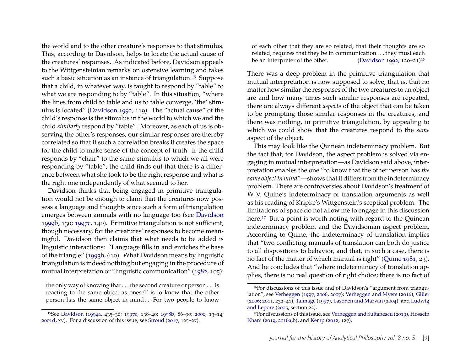the world and to the other creature's responses to that stimulus. This, according to Davidson, helps to locate the actual cause of the creatures' responses. As indicated before, Davidson appeals to the Wittgensteinian remarks on ostensive learning and takes such a basic situation as an instance of triangulation.<sup>[15](#page-9-0)</sup> Suppose that a child, in whatever way, is taught to respond by "table" to what we are responding to by "table". In this situation, "where the lines from child to table and us to table converge, 'the' stimulus is located" [\(Davidson 1992,](#page-23-1) 119). The "actual cause" of the child's response is the stimulus in the world to which we and the child *similarly* respond by "table". Moreover, as each of us is observing the other's responses, our similar responses are thereby correlated so that if such a correlation breaks it creates the space for the child to make sense of the concept of truth: if the child responds by "chair" to the same stimulus to which we all were responding by "table", the child finds out that there is a difference between what she took to be the right response and what is the right one independently of what seemed to her.

Davidson thinks that being engaged in primitive triangulation would not be enough to claim that the creatures now possess a language and thoughts since such a form of triangulation emerges between animals with no language too (see [Davidson](#page-24-0) [1999b,](#page-24-0) 130; [1997c,](#page-23-7) 140). Primitive triangulation is not sufficient, though necessary, for the creatures' responses to become meaningful. Davidson then claims that what needs to be added is linguistic interactions: "Language fills in and enriches the base of the triangle" [\(1993b,](#page-23-8) 610). What Davidson means by linguistic triangulation is indeed nothing but engaging in the procedure of mutual interpretation or "linguistic communication" [\(1982,](#page-22-10) 105):

the only way of knowing that . . . the second creature or person . . . is reacting to the same object as oneself is to know that the other person has the same object in mind . . . For two people to know

of each other that they are so related, that their thoughts are so related, requires that they be in communication . . . they must each be an interpreter of the other. [\(Davidson 1992,](#page-23-1) 120–21)<sup>[16](#page-9-1)</sup>

There was a deep problem in the primitive triangulation that mutual interpretation is now supposed to solve, that is, that no matter how similar the responses of the two creatures to an object are and how many times such similar responses are repeated, there are always different *aspects* of the object that can be taken to be prompting those similar responses in the creatures, and there was nothing, in primitive triangulation, by appealing to which we could show that the creatures respond to the *same* aspect of the object.

This may look like the Quinean indeterminacy problem. But the fact that, for Davidson, the aspect problem is solved via engaging in mutual interpretation—as Davidson said above, interpretation enables the one "to know that the other person has *the same object in mind*"—shows that it differs from the indeterminacy problem. There are controversies about Davidson's treatment of W. V. Quine's indeterminacy of translation arguments as well as his reading of Kripke's Wittgenstein's sceptical problem. The limitations of space do not allow me to engage in this discussion here.<sup>[17](#page-9-2)</sup> But a point is worth noting with regard to the Quinean indeterminacy problem and the Davidsonian aspect problem. According to Quine, the indeterminacy of translation implies that "two conflicting manuals of translation can both do justice to all dispositions to behavior, and that, in such a case, there is no fact of the matter of which manual is right" [\(Quine 1981,](#page-26-4) 23). And he concludes that "where indeterminacy of translation applies, there is no real question of right choice; there is no fact of

<span id="page-9-0"></span><sup>15</sup>See [Davidson](#page-23-10) [\(1994a,](#page-23-10) 435–36; [1997c,](#page-23-7) 138–40; [1998b,](#page-23-9) 86–90; [2000,](#page-24-8) 13–14; [2001d,](#page-24-9) xv). For a discussion of this issue, see [Stroud](#page-26-3) [\(2017,](#page-26-3) 125–27).

<span id="page-9-1"></span><sup>16</sup>For discussions of this issue and of Davidson's "argument from triangulation", see [Verheggen](#page-26-5) [\(1997,](#page-26-5) [2006,](#page-26-6) [2007\)](#page-26-7); [Verheggen and Myers](#page-26-8) [\(2016\)](#page-26-8), [Glüer](#page-24-10) [\(2006;](#page-24-10) [2011,](#page-24-3) 232–41), [Talmage](#page-26-9) [\(1997\)](#page-26-9), [Lasonen and Marvan](#page-25-3) [\(2004\)](#page-25-3), and [Ludwig](#page-25-0) [and Lepore](#page-25-0) [\(2005,](#page-25-0) section 22).

<span id="page-9-2"></span><sup>17</sup>For discussions of this issue, see [Verheggen and Sultanescu](#page-26-10) [\(2019\)](#page-26-10), [Hossein](#page-25-4) [Khani](#page-25-4) [\(2019,](#page-25-4) [2018a](#page-24-11)[,b\)](#page-24-12), and [Kemp](#page-25-5) [\(2012,](#page-25-5) 127).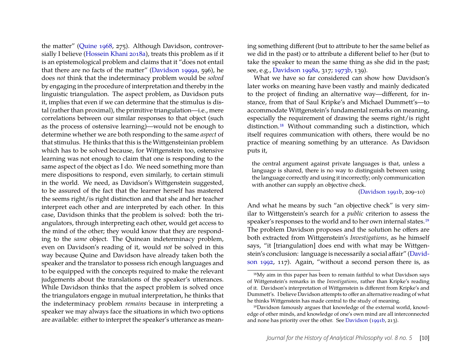the matter" [\(Quine 1968,](#page-26-11) 275). Although Davidson, controversially I believe [\(Hossein Khani 2018a\)](#page-24-11), treats this problem as if it is an epistemological problem and claims that it "does not entail that there are no facts of the matter" [\(Davidson 1999a,](#page-24-13) 596), he does *not* think that the indeterminacy problem would be *solved* by engaging in the procedure of interpretation and thereby in the linguistic triangulation. The aspect problem, as Davidson puts it, implies that even if we can determine that the stimulus is distal (rather than proximal), the primitive triangulation—i.e., mere correlations between our similar responses to that object (such as the process of ostensive learning)—would not be enough to determine whether we are both responding to the same *aspect* of that stimulus. He thinks that this is the Wittgensteinian problem which has to be solved because, for Wittgenstein too, ostensive learning was not enough to claim that one is responding to the same aspect of the object as I do. We need something more than mere dispositions to respond, even similarly, to certain stimuli in the world. We need, as Davidson's Wittgenstein suggested, to be assured of the fact that the learner herself has mastered the seems right/is right distinction and that she and her teacher interpret each other and are interpreted by each other. In this case, Davidson thinks that the problem is solved: both the triangulators, through interpreting each other, would get access to the mind of the other; they would know that they are responding to the *same* object. The Quinean indeterminacy problem, even on Davidson's reading of it, would *not* be solved in this way because Quine and Davidson have already taken both the speaker and the translator to possess rich enough languages and to be equipped with the concepts required to make the relevant judgements about the translations of the speaker's utterances. While Davidson thinks that the aspect problem is solved once the triangulators engage in mutual interpretation, he thinks that the indeterminacy problem *remains* because in interpreting a speaker we may always face the situations in which two options are available: either to interpret the speaker's utterance as meaning something different (but to attribute to her the same belief as we did in the past) or to attribute a different belief to her (but to take the speaker to mean the same thing as she did in the past; see, e.g., [Davidson 1998a,](#page-23-11) 317; [1973b,](#page-22-4) 139).

What we have so far considered can show how Davidson's later works on meaning have been vastly and mainly dedicated to the project of finding an alternative way—different, for instance, from that of Saul Kripke's and Michael Dummett's—to accommodate Wittgenstein's fundamental remarks on meaning, especially the requirement of drawing the seems right/is right distinction.[18](#page-10-0) Without commanding such a distinction, which itself requires communication with others, there would be no practice of meaning something by an utterance. As Davidson puts it,

the central argument against private languages is that, unless a language is shared, there is no way to distinguish between using the language correctly and using it incorrectly; only communication with another can supply an objective check.

[\(Davidson 1991b,](#page-23-0) 209–10)

And what he means by such "an objective check" is very similar to Wittgenstein's search for a *public* criterion to assess the speaker's responses to the world and to her own internal states.[19](#page-10-1) The problem Davidson proposes and the solution he offers are both extracted from Wittgenstein's *Investigations*, as he himself says, "it [triangulation] does end with what may be Wittgenstein's conclusion: language is necessarily a social affair" [\(David](#page-23-1)[son 1992,](#page-23-1) 117). Again, "without a second person there is, as

<span id="page-10-0"></span><sup>18</sup>My aim in this paper has been to remain faithful to what Davidson says of Wittgenstein's remarks in the *Investigations*, rather than Kripke's reading of it. Davidson's interpretation of Wittgenstein is different from Kripke's and Dummett's. I believe Davidson attempts to offer an alternative reading of what he thinks Wittgenstein has made central to the study of meaning.

<span id="page-10-1"></span><sup>19</sup>Davidson famously argues that knowledge of the external world, knowledge of other minds, and knowledge of one's own mind are all interconnected and none has priority over the other. See [Davidson](#page-23-0) [\(1991b,](#page-23-0) 213).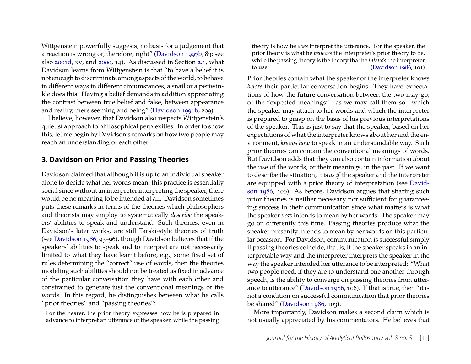Wittgenstein powerfully suggests, no basis for a judgement that a reaction is wrong or, therefore, right" [\(Davidson 1997b,](#page-23-12) 83; see also [2001d,](#page-24-9) xv, and [2000,](#page-24-8) 14). As discussed in Section [2.1,](#page-4-2) what Davidson learns from Wittgenstein is that "to have a belief it is not enough to discriminate among aspects of the world, to behave in different ways in different circumstances; a snail or a periwinkle does this. Having a belief demands in addition appreciating the contrast between true belief and false, between appearance and reality, mere seeming and being" [\(Davidson 1991b,](#page-23-0) 209).

I believe, however, that Davidson also respects Wittgenstein's quietist approach to philosophical perplexities. In order to show this, let me begin by Davidson's remarks on how two people may reach an understanding of each other.

#### <span id="page-11-0"></span>**3. Davidson on Prior and Passing Theories**

Davidson claimed that although it is up to an individual speaker alone to decide what her words mean, this practice is essentially social since without an interpreter interpreting the speaker, there would be no meaning to be intended at all. Davidson sometimes puts these remarks in terms of the theories which philosophers and theorists may employ to systematically *describe* the speakers' abilities to speak and understand. Such theories, even in Davidson's later works, are still Tarski-style theories of truth (see [Davidson 1986,](#page-22-7) 95–96), though Davidson believes that if the speakers' abilities to speak and to interpret are not necessarily limited to what they have learnt before, e.g., some fixed set of rules determining the "correct" use of words, then the theories modeling such abilities should not be treated as fixed in advance of the particular conversation they have with each other and constrained to generate just the conventional meanings of the words. In this regard, he distinguishes between what he calls "prior theories" and "passing theories":

For the hearer, the prior theory expresses how he is prepared in advance to interpret an utterance of the speaker, while the passing

theory is how he *does* interpret the utterance. For the speaker, the prior theory is what he *believes* the interpreter's prior theory to be, while the passing theory is the theory that he *intends*the interpreter to use. [\(Davidson 1986,](#page-22-7) 101)

Prior theories contain what the speaker or the interpreter knows *before* their particular conversation begins. They have expectations of how the future conversation between the two may go, of the "expected meanings"—as we may call them so—which the speaker may attach to her words and which the interpreter is prepared to grasp on the basis of his previous interpretations of the speaker. This is just to say that the speaker, based on her expectations of what the interpreter knows about her and the environment, *knows how* to speak in an understandable way. Such prior theories can contain the conventional meanings of words. But Davidson adds that they can also contain information about the use of the words, or their meanings, in the past. If we want to describe the situation, it is *as if* the speaker and the interpreter are equipped with a prior theory of interpretation (see [David](#page-22-7)[son 1986,](#page-22-7) 100). As before, Davidson argues that sharing such prior theories is neither necessary nor sufficient for guaranteeing success in their communication since what matters is what the speaker *now* intends to mean by her words. The speaker may go on differently this time. Passing theories produce what the speaker presently intends to mean by her words on this particular occasion. For Davidson, communication is successful simply if passing theories coincide, that is, if the speaker speaks in an interpretable way and the interpreter interprets the speaker in the way the speaker intended her utterance to be interpreted: "What two people need, if they are to understand one another through speech, is the ability to converge on passing theories from utterance to utterance" [\(Davidson 1986,](#page-22-7) 106). If that is true, then "it is not a condition on successful communication that prior theories be shared" [\(Davidson 1986,](#page-22-7) 103).

More importantly, Davidson makes a second claim which is not usually appreciated by his commentators. He believes that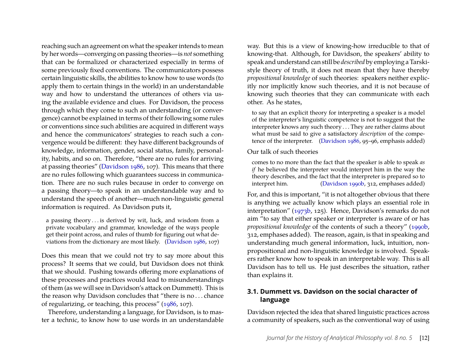reaching such an agreement on what the speaker intends to mean by her words—converging on passing theories—is *not* something that can be formalized or characterized especially in terms of some previously fixed conventions. The communicators possess certain linguistic skills, the abilities to know how to use words (to apply them to certain things in the world) in an understandable way and how to understand the utterances of others via using the available evidence and clues. For Davidson, the process through which they come to such an understanding (or convergence) cannot be explained in terms of their following some rules or conventions since such abilities are acquired in different ways and hence the communicators' strategies to reach such a convergence would be different: they have different backgrounds of knowledge, information, gender, social status, family, personality, habits, and so on. Therefore, "there are no rules for arriving at passing theories" [\(Davidson 1986,](#page-22-7) 107). This means that there are no rules following which guarantees success in communication. There are no such rules because in order to converge on a passing theory—to speak in an understandable way and to understand the speech of another—much non-linguistic general information is required. As Davidson puts it,

a passing theory . . . is derived by wit, luck, and wisdom from a private vocabulary and grammar, knowledge of the ways people get their point across, and rules of thumb for figuring out what deviations from the dictionary are most likely. [\(Davidson 1986,](#page-22-7) 107)

Does this mean that we could not try to say more about this process? It seems that we could, but Davidson does not think that we should. Pushing towards offering more explanations of these processes and practices would lead to misunderstandings of them (as we will see in Davidson's attack on Dummett). This is the reason why Davidson concludes that "there is no . . . chance of regularizing, or teaching, this process" [\(1986,](#page-22-7) 107).

Therefore, understanding a language, for Davidson, is to master a technic, to know how to use words in an understandable

way. But this is a view of knowing-how irreducible to that of knowing-that. Although, for Davidson, the speakers' ability to speak and understand can still be *described* by employing a Tarskistyle theory of truth, it does not mean that they have thereby *propositional knowledge* of such theories: speakers neither explicitly nor implicitly know such theories, and it is not because of knowing such theories that they can communicate with each other. As he states,

to say that an explicit theory for interpreting a speaker is a model of the interpreter's linguistic competence is not to suggest that the interpreter knows any such theory . . . They are rather claims about what must be said to give a satisfactory *description* of the competence of the interpreter. [\(Davidson 1986,](#page-22-7) 95–96, emphasis added)

#### Our talk of such theories

comes to no more than the fact that the speaker is able to speak *as if* he believed the interpreter would interpret him in the way the theory describes, and the fact that the interpreter is prepared so to interpret him. [\(Davidson 1990b,](#page-23-13) 312, emphases added)

For, and this is important, "it is not altogether obvious that there is anything we actually know which plays an essential role in interpretation" [\(1973b,](#page-22-4) 125). Hence, Davidson's remarks do not aim "to say that either speaker or interpreter is aware of or has *propositional knowledge* of the contents of such a theory" [\(1990b,](#page-23-13) 312, emphases added). The reason, again, is that in speaking and understanding much general information, luck, intuition, nonpropositional and non-linguistic knowledge is involved. Speakers rather know how to speak in an interpretable way. This is all Davidson has to tell us. He just describes the situation, rather than explains it.

#### **3.1. Dummett vs. Davidson on the social character of language**

Davidson rejected the idea that shared linguistic practices across a community of speakers, such as the conventional way of using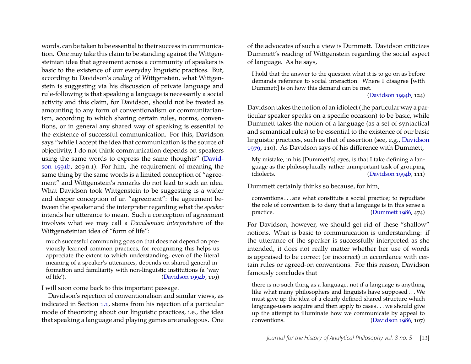words, can be taken to be essential to their success in communication. One may take this claim to be standing against the Wittgensteinian idea that agreement across a community of speakers is basic to the existence of our everyday linguistic practices. But, according to Davidson's *reading* of Wittgenstein, what Wittgenstein is suggesting via his discussion of private language and rule-following is that speaking a language is necessarily a social activity and this claim, for Davidson, should not be treated as amounting to any form of conventionalism or communitarianism, according to which sharing certain rules, norms, conventions, or in general any shared way of speaking is essential to the existence of successful communication. For this, Davidson says "while I accept the idea that communication is the source of objectivity, I do not think communication depends on speakers using the same words to express the same thoughts" [\(David](#page-23-0)[son 1991b,](#page-23-0) 209 n 1). For him, the requirement of meaning the same thing by the same words is a limited conception of "agreement" and Wittgenstein's remarks do not lead to such an idea. What Davidson took Wittgenstein to be suggesting is a wider and deeper conception of an "agreement": the agreement between the speaker and the interpreter regarding what the *speaker* intends her utterance to mean. Such a conception of agreement involves what we may call a *Davidsonian interpretation* of the Wittgensteinian idea of "form of life":

much successful communing goes on that does not depend on previously learned common practices, for recognizing this helps us appreciate the extent to which understanding, even of the literal meaning of a speaker's utterances, depends on shared general information and familiarity with non-linguistic institutions (a 'way of life'). [\(Davidson 1994b,](#page-23-2) 119)

I will soon come back to this important passage.

Davidson's rejection of conventionalism and similar views, as indicated in Section [1.1,](#page-1-2) stems from his rejection of a particular mode of theorizing about our linguistic practices, i.e., the idea that speaking a language and playing games are analogous. One of the advocates of such a view is Dummett. Davidson criticizes Dummett's reading of Wittgenstein regarding the social aspect of language. As he says,

I hold that the answer to the question what it is to go on as before demands reference to social interaction. Where I disagree [with Dummett] is on how this demand can be met.

#### [\(Davidson 1994b,](#page-23-2) 124)

Davidson takes the notion of an idiolect (the particular way a particular speaker speaks on a specific occasion) to be basic, while Dummett takes the notion of a language (as a set of syntactical and semantical rules) to be essential to the existence of our basic linguistic practices, such as that of assertion (see, e.g., [Davidson](#page-22-13) [1979,](#page-22-13) 110). As Davidson says of his difference with Dummett,

My mistake, in his [Dummett's] eyes, is that I take defining a language as the philosophically rather unimportant task of grouping idiolects. [\(Davidson 1994b,](#page-23-2) 111)

Dummett certainly thinks so because, for him,

conventions . . . are what constitute a social practice; to repudiate the role of convention is to deny that a language is in this sense a practice. [\(Dummett 1986,](#page-24-14) 474)

For Davidson, however, we should get rid of these "shallow" notions. What is basic to communication is understanding: if the utterance of the speaker is successfully interpreted as she intended, it does not really matter whether her use of words is appraised to be correct (or incorrect) in accordance with certain rules or agreed-on conventions. For this reason, Davidson famously concludes that

there is no such thing as a language, not if a language is anything like what many philosophers and linguists have supposed . . . We must give up the idea of a clearly defined shared structure which language-users acquire and then apply to cases . . . we should give up the attempt to illuminate how we communicate by appeal to conventions. [\(Davidson 1986,](#page-22-7) 107)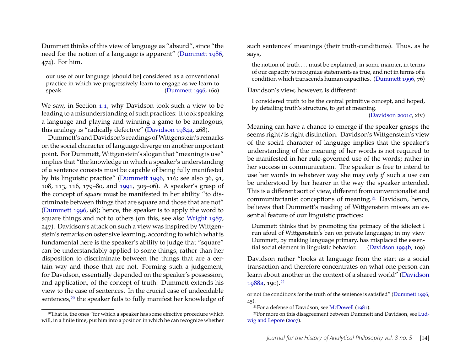Dummett thinks of this view of language as "absurd", since "the need for the notion of a language is apparent" [\(Dummett 1986,](#page-24-14) 474). For him,

our use of our language [should be] considered as a conventional practice in which we progressively learn to engage as we learn to speak. [\(Dummett 1996,](#page-24-15) 160)

We saw, in Section [1.1,](#page-1-2) why Davidson took such a view to be leading to a misunderstanding of such practices: it took speaking a language and playing and winning a game to be analogous; this analogy is "radically defective" [\(Davidson 1984a,](#page-22-6) 268).

Dummett's and Davidson's readings of Wittgenstein's remarks on the social character of language diverge on another important point. For Dummett, Wittgenstein's slogan that "meaning is use" implies that "the knowledge in which a speaker's understanding of a sentence consists must be capable of being fully manifested by his linguistic practice" [\(Dummett 1996,](#page-24-15) 116; see also 36, 91, 108, 113, 116, 179–80, and [1991,](#page-24-16) 305–06). A speaker's grasp of the concept of *square* must be manifested in her ability "to discriminate between things that are square and those that are not" [\(Dummett 1996,](#page-24-15) 98); hence, the speaker is to apply the word to square things and not to others (on this, see also [Wright 1987,](#page-26-12) 247). Davidson's attack on such a view was inspired by Wittgenstein's remarks on ostensive learning, according to which what is fundamental here is the speaker's ability to judge that "square" can be understandably applied to some things, rather than her disposition to discriminate between the things that are a certain way and those that are not. Forming such a judgement, for Davidson, essentially depended on the speaker's possession, and application, of the concept of truth. Dummett extends his view to the case of sentences. In the crucial case of undecidable sentences,<sup>[20](#page-14-0)</sup> the speaker fails to fully manifest her knowledge of

<span id="page-14-0"></span><sup>20</sup>That is, the ones "for which a speaker has some effective procedure which will, in a finite time, put him into a position in which he can recognize whether such sentences' meanings (their truth-conditions). Thus, as he says,

the notion of truth . . . must be explained, in some manner, in terms of our capacity to recognize statements as true, and not in terms of a condition which transcends human capacities. [\(Dummett 1996,](#page-24-15) 76)

Davidson's view, however, is different:

I considered truth to be the central primitive concept, and hoped, by detailing truth's structure, to get at meaning.

[\(Davidson 2001c,](#page-24-17) xiv)

Meaning can have a chance to emerge if the speaker grasps the seems right/is right distinction. Davidson's Wittgenstein's view of the social character of language implies that the speaker's understanding of the meaning of her words is not required to be manifested in her rule-governed use of the words; rather in her success in communication. The speaker is free to intend to use her words in whatever way she may *only if* such a use can be understood by her hearer in the way the speaker intended. This is a different sort of view, different from conventionalist and communitarianist conceptions of meaning.[21](#page-14-1) Davidson, hence, believes that Dummett's reading of Wittgenstein misses an essential feature of our linguistic practices:

Dummett thinks that by promoting the primacy of the idiolect I run afoul of Wittgenstein's ban on private languages; in my view Dummett, by making language primary, has misplaced the essential social element in linguistic behavior. [\(Davidson 1994b,](#page-23-2) 109)

Davidson rather "looks at language from the start as a social transaction and therefore concentrates on what one person can learn about another in the context of a shared world" [\(Davidson](#page-23-14) [1988a,](#page-23-14) 190).[22](#page-14-2)

or not the conditions for the truth of the sentence is satisfied" [\(Dummett 1996,](#page-24-15) 45).

<span id="page-14-2"></span><span id="page-14-1"></span><sup>21</sup>For a defense of Davidson, see [McDowell](#page-25-6) [\(1981\)](#page-25-6).

<sup>22</sup>For more on this disagreement between Dummett and Davidson, see [Lud](#page-25-7)[wig and Lepore](#page-25-7) [\(2007\)](#page-25-7).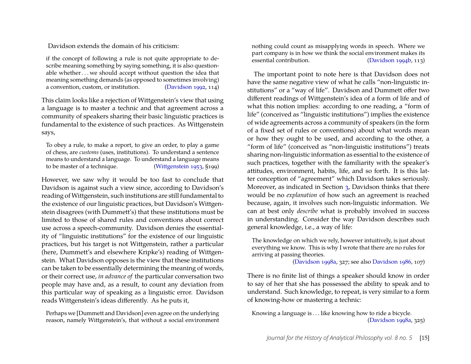Davidson extends the domain of his criticism:

if the concept of following a rule is not quite appropriate to describe meaning something by saying something, it is also questionable whether . . . we should accept without question the idea that meaning something demands (as opposed to sometimes involving) a convention, custom, or institution. [\(Davidson 1992,](#page-23-1) 114)

This claim looks like a rejection of Wittgenstein's view that using a language is to master a technic and that agreement across a community of speakers sharing their basic linguistic practices is fundamental to the existence of such practices. As Wittgenstein says,

To obey a rule, to make a report, to give an order, to play a game of chess, are *customs* (uses, institutions). To understand a sentence means to understand a language. To understand a language means to be master of a technique. [\(Wittgenstein 1953,](#page-26-1) §199)

However, we saw why it would be too fast to conclude that Davidson is against such a view since, according to Davidson's reading of Wittgenstein, such institutions are still fundamental to the existence of our linguistic practices, but Davidson's Wittgenstein disagrees (with Dummett's) that these institutions must be limited to those of shared rules and conventions about correct use across a speech-community. Davidson denies the essentiality of "linguistic institutions" for the existence of our linguistic practices, but his target is not Wittgenstein, rather a particular (here, Dummett's and elsewhere Kripke's) reading of Wittgenstein. What Davidson opposes is the view that these institutions can be taken to be essentially determining the meaning of words, or their correct use, *in advance of* the particular conversation two people may have and, as a result, to count any deviation from this particular way of speaking as a linguistic error. Davidson reads Wittgenstein's ideas differently. As he puts it,

Perhaps we [Dummett and Davidson] even agree on the underlying reason, namely Wittgenstein's, that without a social environment nothing could count as misapplying words in speech. Where we part company is in how we think the social environment makes its essential contribution. [\(Davidson 1994b,](#page-23-2) 113)

The important point to note here is that Davidson does not have the same negative view of what he calls "non-linguistic institutions" or a "way of life". Davidson and Dummett offer two different readings of Wittgenstein's idea of a form of life and of what this notion implies: according to one reading, a "form of life" (conceived as "linguistic institutions") implies the existence of wide agreements across a community of speakers (in the form of a fixed set of rules or conventions) about what words mean or how they ought to be used, and according to the other, a "form of life" (conceived as "non-linguistic institutions") treats sharing non-linguistic information as essential to the existence of such practices, together with the familiarity with the speaker's attitudes, environment, habits, life, and so forth. It is this latter conception of "agreement" which Davidson takes seriously. Moreover, as indicated in Section [3,](#page-11-0) Davidson thinks that there would be no *explanation* of how such an agreement is reached because, again, it involves such non-linguistic information. We can at best only *describe* what is probably involved in success in understanding. Consider the way Davidson describes such general knowledge, i.e., a way of life:

The knowledge on which we rely, however intuitively, is just about everything we know. This is why I wrote that there are no rules for arriving at passing theories.

[\(Davidson 1998a,](#page-23-11) 327; see also [Davidson 1986,](#page-22-7) 107)

There is no finite list of things a speaker should know in order to say of her that she has possessed the ability to speak and to understand. Such knowledge, to repeat, is very similar to a form of knowing-how or mastering a technic:

Knowing a language is . . . like knowing how to ride a bicycle. [\(Davidson 1998a,](#page-23-11) 325)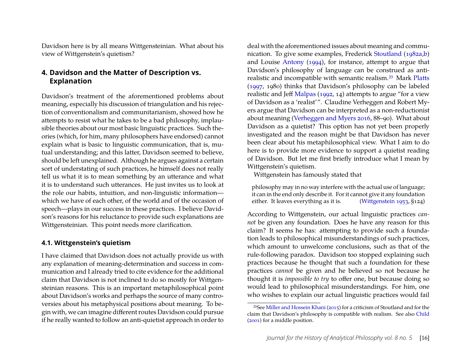Davidson here is by all means Wittgensteinian. What about his view of Wittgenstein's quietism?

### **4. Davidson and the Matter of Description vs. Explanation**

Davidson's treatment of the aforementioned problems about meaning, especially his discussion of triangulation and his rejection of conventionalism and communitarianism, showed how he attempts to resist what he takes to be a bad philosophy, implausible theories about our most basic linguistic practices. Such theories (which, for him, many philosophers have endorsed) cannot explain what is basic to linguistic communication, that is, mutual understanding; and this latter, Davidson seemed to believe, should be left unexplained. Although he argues against a certain sort of understating of such practices, he himself does not really tell us what it is to mean something by an utterance and what it is to understand such utterances. He just invites us to look at the role our habits, intuition, and non-linguistic information which we have of each other, of the world and of the occasion of speech—plays in our success in these practices. I believe Davidson's reasons for his reluctance to provide such explanations are Wittgensteinian. This point needs more clarification.

#### **4.1. Wittgenstein's quietism**

I have claimed that Davidson does not actually provide us with any explanation of meaning-determination and success in communication and I already tried to cite evidence for the additional claim that Davidson is not inclined to do so mostly for Wittgensteinian reasons. This is an important metaphilosophical point about Davidson's works and perhaps the source of many controversies about his metaphysical positions about meaning. To begin with, we can imagine different routes Davidson could pursue if he really wanted to follow an anti-quietist approach in order to deal with the aforementioned issues about meaning and communication. To give some examples, Frederick [Stoutland](#page-26-13) [\(1982a](#page-26-13)[,b\)](#page-26-14) and Louise [Antony](#page-22-14) [\(1994\)](#page-22-14), for instance, attempt to argue that Davidson's philosophy of language can be construed as antirealistic and incompatible with semantic realism.[23](#page-16-0) Mark [Platts](#page-25-8) [\(1997,](#page-25-8) 1980) thinks that Davidson's philosophy can be labeled realistic and Jeff [Malpas](#page-25-9) [\(1992,](#page-25-9) 14) attempts to argue "for a view of Davidson as a 'realist'". Claudine Verheggen and Robert Myers argue that Davidson can be interpreted as a non-reductionist about meaning [\(Verheggen and Myers 2016,](#page-26-8) 88–90). What about Davidson as a quietist? This option has not yet been properly investigated and the reason might be that Davidson has never been clear about his metaphilosophical view. What I aim to do here is to provide more evidence to support a quietist reading of Davidson. But let me first briefly introduce what I mean by Wittgenstein's quietism.

Wittgenstein has famously stated that

philosophy may in no way interfere with the actual use of language; it can in the end only describe it. For it cannot give it any foundation either. It leaves everything as it is. [\(Wittgenstein 1953,](#page-26-1) §124)

According to Wittgenstein, our actual linguistic practices *cannot* be given any foundation. Does he have any reason for this claim? It seems he has: attempting to provide such a foundation leads to philosophical misunderstandings of such practices, which amount to unwelcome conclusions, such as that of the rule-following paradox. Davidson too stopped explaining such practices because he thought that such a foundation for these practices *cannot* be given and he believed so not because he thought it is *impossible to try* to offer one, but because doing so would lead to philosophical misunderstandings. For him, one who wishes to explain our actual linguistic practices would fail

<span id="page-16-0"></span><sup>23</sup>See [Miller and Hossein Khani](#page-25-10) [\(2015\)](#page-25-10) for a criticism of Stoutland and for the claim that Davidson's philosophy is compatible with realism. See also [Child](#page-22-15) [\(2001\)](#page-22-15) for a middle position.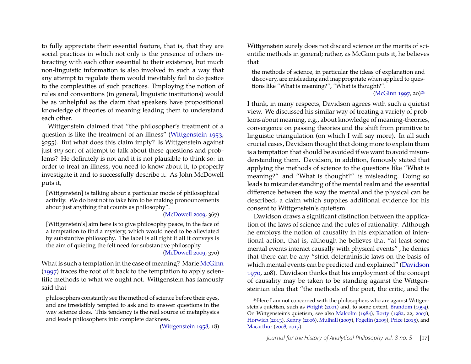to fully appreciate their essential feature, that is, that they are social practices in which not only is the presence of others interacting with each other essential to their existence, but much non-linguistic information is also involved in such a way that any attempt to regulate them would inevitably fail to do justice to the complexities of such practices. Employing the notion of rules and conventions (in general, linguistic institutions) would be as unhelpful as the claim that speakers have propositional knowledge of theories of meaning leading them to understand each other.

Wittgenstein claimed that "the philosopher's treatment of a question is like the treatment of an illness" [\(Wittgenstein 1953,](#page-26-1) §255). But what does this claim imply? Is Wittgenstein against just *any* sort of attempt to talk about these questions and problems? He definitely is not and it is not plausible to think so: in order to treat an illness, you need to know about it, to properly investigate it and to successfully describe it. As John McDowell puts it,

[Wittgenstein] is talking about a particular mode of philosophical activity. We do best not to take him to be making pronouncements about just anything that counts as philosophy".

[\(McDowell 2009,](#page-25-11) 367)

[Wittgenstein's] aim here is to give philosophy peace, in the face of a temptation to find a mystery, which would need to be alleviated by substantive philosophy. The label is all right if all it conveys is the aim of quieting the felt need for substantive philosophy.

[\(McDowell 2009,](#page-25-11) 370)

What is such a temptation in the case of meaning? Marie [McGinn](#page-25-12) [\(1997\)](#page-25-12) traces the root of it back to the temptation to apply scientific methods to what we ought not. Wittgenstein has famously said that

philosophers constantly see the method of science before their eyes, and are irresistibly tempted to ask and to answer questions in the way science does. This tendency is the real source of metaphysics and leads philosophers into complete darkness.

[\(Wittgenstein 1958,](#page-26-15) 18)

Wittgenstein surely does not discard science or the merits of scientific methods in general; rather, as McGinn puts it, he believes that

the methods of science, in particular the ideas of explanation and discovery, are misleading and inappropriate when applied to questions like "What is meaning?", "What is thought?".

[\(McGinn 1997,](#page-25-12) 20)[24](#page-17-0)

I think, in many respects, Davidson agrees with such a quietist view. We discussed his similar way of treating a variety of problems about meaning, e.g., about knowledge of meaning-theories, convergence on passing theories and the shift from primitive to linguistic triangulation (on which I will say more). In all such crucial cases, Davidson thought that doing more to explain them is a temptation that should be avoided if we want to avoid misunderstanding them. Davidson, in addition, famously stated that applying the methods of science to the questions like "What is meaning?" and "What is thought?" is misleading. Doing so leads to misunderstanding of the mental realm and the essential difference between the way the mental and the physical can be described, a claim which supplies additional evidence for his consent to Wittgenstein's quietism.

Davidson draws a significant distinction between the application of the laws of science and the rules of rationality. Although he employs the notion of causality in his explanation of intentional action, that is, although he believes that "at least some mental events interact causally with physical events" , he denies that there can be any "strict deterministic laws on the basis of which mental events can be predicted and explained" [\(Davidson](#page-22-16) [1970,](#page-22-16) 208). Davidson thinks that his employment of the concept of causality may be taken to be standing against the Wittgensteinian idea that "the methods of the poet, the critic, and the

<span id="page-17-0"></span><sup>24</sup>Here I am not concerned with the philosophers who are against Wittgenstein's quietism, such as [Wright](#page-26-16) [\(2001\)](#page-26-16) and, to some extent, [Brandom](#page-22-17) [\(1994\)](#page-22-17). On Wittgenstein's quietism, see also [Malcolm](#page-25-13) [\(1984\)](#page-25-13), [Rorty](#page-26-17) [\(1982,](#page-26-17) 22; [2007\)](#page-26-18), [Horwich](#page-24-18) [\(2013\)](#page-24-18), [Kenny](#page-25-14) [\(2006\)](#page-25-14), [Mulhall](#page-25-15) [\(2007\)](#page-25-15), [Fogelin](#page-24-19) [\(2009\)](#page-24-19), [Price](#page-26-19) [\(2015\)](#page-26-19), and [Macarthur](#page-25-16) [\(2008,](#page-25-16) [2017\)](#page-25-17).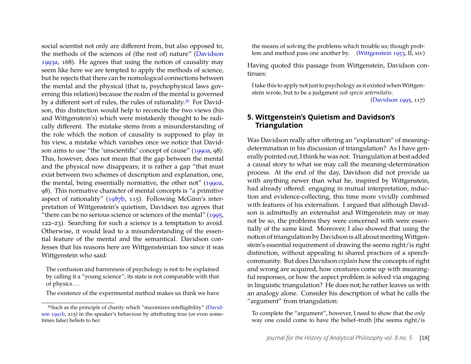social scientist not only are different from, but also opposed to, the methods of the sciences of (the rest of) nature" [\(Davidson](#page-23-5) [1993a,](#page-23-5) 168). He agrees that using the notion of causality may seem like here we are tempted to apply the methods of science, but he rejects that there can be nomological connections between the mental and the physical (that is, psychophysical laws governing this relation) because the realm of the mental is governed by a different sort of rules, the rules of rationality.[25](#page-18-0) For Davidson, this distinction would help to reconcile the two views (his and Wittgenstein's) which were mistakenly thought to be radically different. The mistake stems from a misunderstanding of the role which the notion of causality is supposed to play in his view, a mistake which vanishes once we notice that Davidson aims to use "the 'unscientific' concept of cause" [\(1990a,](#page-23-15) 98). This, however, does not mean that the gap between the mental and the physical now disappears; it is rather a gap "that must exist between two schemes of description and explanation, one, the mental, being essentially normative, the other not" [\(1990a,](#page-23-15) 98). This normative character of mental concepts is "a primitive aspect of rationality" [\(1987b,](#page-23-16) 115). Following McGinn's interpretation of Wittgenstein's quietism, Davidson too agrees that "there can be no serious science or sciences of the mental" [\(1995,](#page-23-3) 122–23). Searching for such a science is a temptation to avoid. Otherwise, it would lead to a misunderstanding of the essential feature of the mental and the semantical. Davidson confesses that his reasons here are Wittgensteinian too since it was Wittgenstein who said:

The confusion and barrenness of psychology is not to be explained by calling it a "young science"; its state is not comparable with that of physics . . .

The existence of the experimental method makes us think we have

the means of solving the problems which trouble us; though problem and method pass one another by. [\(Wittgenstein 1953,](#page-26-1) II, xiv)

Having quoted this passage from Wittgenstein, Davidson continues:

I take this to apply not just to psychology as it existed when Wittgenstein wrote, but to be a judgment *sub specie aeternitatis*.

[\(Davidson 1995,](#page-23-3) 117)

#### **5. Wittgenstein's Quietism and Davidson's Triangulation**

Was Davidson really after offering an "explanation" of meaningdetermination in his discussion of triangulation? As I have generally pointed out, I think he was not. Triangulation at best added a causal story to what we may call the meaning-determination process. At the end of the day, Davidson did not provide us with anything newer than what he, inspired by Wittgenstein, had already offered: engaging in mutual interpretation, induction and evidence-collecting, this time more vividly combined with features of his externalism. I argued that although Davidson is admittedly an externalist and Wittgenstein may or may not be so, the problems they were concerned with were essentially of the same kind. Moreover, I also showed that using the notion of triangulation by Davidson is all about meetingWittgenstein's essential requirement of drawing the seems right/is right distinction, without appealing to shared practices of a speechcommunity. But does Davidson *explain* how the concepts of right and wrong are acquired, how creatures come up with meaningful responses, or how the aspect problem is solved via engaging in linguistic triangulation? He does not; he rather leaves us with an analogy alone. Consider his description of what he calls the "argument" from triangulation:

To complete the "argument", however, I need to show that the *only* way one could come to have the belief–truth [the seems right/is

<span id="page-18-0"></span><sup>25</sup>Such as the principle of charity which "maximizes intelligibility" [\(David](#page-23-0)[son 1991b,](#page-23-0) 215) in the speaker's behaviour by attributing true (or even sometimes false) beliefs to her.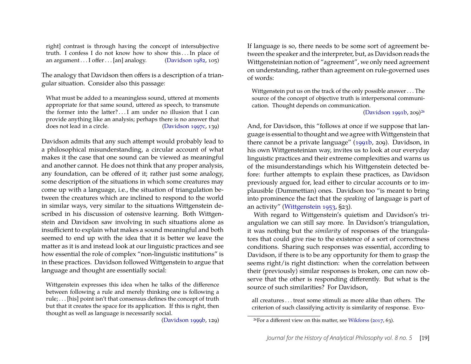right] contrast is through having the concept of intersubjective truth. I confess I do not know how to show this . . . In place of an argument  $\dots$  I offer  $\dots$  [an] analogy. [\(Davidson 1982,](#page-22-10) 105)

The analogy that Davidson then offers is a description of a triangular situation. Consider also this passage:

What must be added to a meaningless sound, uttered at moments appropriate for that same sound, uttered as speech, to transmute the former into the latter? . . . I am under no illusion that I can provide anything like an analysis; perhaps there is no answer that does not lead in a circle. [\(Davidson 1997c,](#page-23-7) 139)

Davidson admits that any such attempt would probably lead to a philosophical misunderstanding, a circular account of what makes it the case that one sound can be viewed as meaningful and another cannot. He does not think that any proper analysis, any foundation, can be offered of it; rather just some analogy, some description of the situations in which some creatures may come up with a language, i.e., the situation of triangulation between the creatures which are inclined to respond to the world in similar ways, very similar to the situations Wittgenstein described in his discussion of ostensive learning. Both Wittgenstein and Davidson saw involving in such situations alone as insufficient to explain what makes a sound meaningful and both seemed to end up with the idea that it is better we leave the matter as it is and instead look at our linguistic practices and see how essential the role of complex "non-linguistic institutions" is in these practices. Davidson followed Wittgenstein to argue that language and thought are essentially social:

Wittgenstein expresses this idea when he talks of the difference between following a rule and merely thinking one is following a rule; . . . [his] point isn't that consensus defines the concept of truth but that it creates the space for its application. If this is right, then thought as well as language is necessarily social.

[\(Davidson 1999b,](#page-24-0) 129)

If language is so, there needs to be some sort of agreement between the speaker and the interpreter, but, as Davidson reads the Wittgensteinian notion of "agreement", we only need agreement on understanding, rather than agreement on rule-governed uses of words:

Wittgenstein put us on the track of the only possible answer . . . The source of the concept of objective truth is interpersonal communication. Thought depends on communication.

[\(Davidson 1991b,](#page-23-0) 209)[26](#page-19-0)

And, for Davidson, this "follows at once if we suppose that language is essential to thought and we agree with Wittgenstein that there cannot be a private language" [\(1991b,](#page-23-0) 209). Davidson, in his own Wittgensteinian way, invites us to look at our everyday linguistic practices and their extreme complexities and warns us of the misunderstandings which his Wittgenstein detected before: further attempts to explain these practices, as Davidson previously argued for, lead either to circular accounts or to implausible (Dummettian) ones. Davidson too "is meant to bring into prominence the fact that the *speaking* of language is part of an activity" [\(Wittgenstein 1953,](#page-26-1) §23).

With regard to Wittgenstein's quietism and Davidson's triangulation we can still say more. In Davidson's triangulation, it was nothing but the *similarity* of responses of the triangulators that could give rise to the existence of a sort of correctness conditions. Sharing such responses was essential, according to Davidson, if there is to be any opportunity for them to grasp the seems right/is right distinction: when the correlation between their (previously) similar responses is broken, one can now observe that the other is responding differently. But what is the source of such similarities? For Davidson,

all creatures . . . treat some stimuli as more alike than others. The criterion of such classifying activity is similarity of response. Evo-

<span id="page-19-0"></span> $26$ For a different view on this matter, see [Wikforss](#page-26-20) [\(2017,](#page-26-20) 63).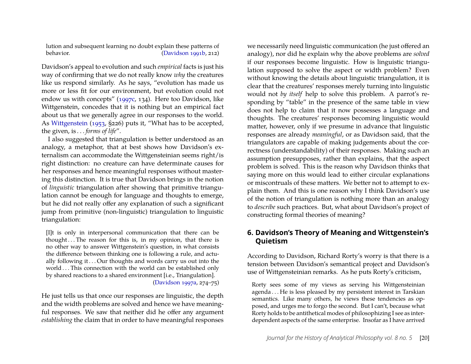lution and subsequent learning no doubt explain these patterns of behavior. [\(Davidson 1991b,](#page-23-0) 212)

Davidson's appeal to evolution and such *empirical* facts is just his way of confirming that we do not really know *why* the creatures like us respond similarly. As he says, "evolution has made us more or less fit for our environment, but evolution could not endow us with concepts" [\(1997c,](#page-23-7) 134). Here too Davidson, like Wittgenstein, concedes that it is nothing but an empirical fact about us that we generally agree in our responses to the world. As [Wittgenstein](#page-26-1) [\(1953,](#page-26-1) §226) puts it, "What has to be accepted, the given, is . . . *forms of life*".

I also suggested that triangulation is better understood as an analogy, a metaphor, that at best shows how Davidson's externalism can accommodate the Wittgensteinian seems right/is right distinction: no creature can have determinate causes for her responses and hence meaningful responses without mastering this distinction. It is true that Davidson brings in the notion of *linguistic* triangulation after showing that primitive triangulation cannot be enough for language and thoughts to emerge, but he did not really offer any explanation of such a significant jump from primitive (non-linguistic) triangulation to linguistic triangulation:

[I]t is only in interpersonal communication that there can be thought...The reason for this is, in my opinion, that there is no other way to answer Wittgenstein's question, in what consists the difference between thinking one is following a rule, and actually following it ... Our thoughts and words carry us out into the world . . . This connection with the world can be established only by shared reactions to a shared environment [i.e., Triangulation]. [\(Davidson 1997a,](#page-23-17) 274–75)

He just tells us that once our responses are linguistic, the depth and the width problems are solved and hence we have meaningful responses. We saw that neither did he offer any argument *establishing* the claim that in order to have meaningful responses

we necessarily need linguistic communication (he just offered an analogy), nor did he explain why the above problems are *solved* if our responses become linguistic. How is linguistic triangulation supposed to solve the aspect or width problem? Even without knowing the details about linguistic triangulation, it is clear that the creatures' responses merely turning into linguistic would not *by itself* help to solve this problem. A parrot's responding by "table" in the presence of the same table in view does not help to claim that it now possesses a language and thoughts. The creatures' responses becoming linguistic would matter, however, only if we presume in advance that linguistic responses are already *meaningful*, or as Davidson said, that the triangulators are capable of making judgements about the correctness (understandability) of their responses. Making such an assumption presupposes, rather than explains, that the aspect problem is solved. This is the reason why Davidson thinks that saying more on this would lead to either circular explanations or miscontruals of these matters. We better not to attempt to explain them. And this is one reason why I think Davidson's use of the notion of triangulation is nothing more than an analogy to *describe* such practices. But, what about Davidson's project of constructing formal theories of meaning?

### **6. Davidson's Theory of Meaning and Wittgenstein's Quietism**

According to Davidson, Richard Rorty's worry is that there is a tension between Davidson's semantical project and Davidson's use of Wittgensteinian remarks. As he puts Rorty's criticism,

Rorty sees some of my views as serving his Wittgensteinian agenda . . . He is less pleased by my persistent interest in Tarskian semantics. Like many others, he views these tendencies as opposed, and urges me to forgo the second. But I can't, because what Rorty holds to be antithetical modes of philosophizing I see as interdependent aspects of the same enterprise. Insofar as I have arrived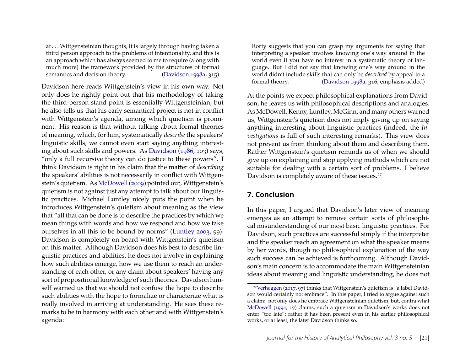at . . . Wittgensteinian thoughts, it is largely through having taken a third person approach to the problems of intentionality, and this is an approach which has always seemed to me to require (along with much more) the framework provided by the structures of formal semantics and decision theory. [\(Davidson 1998a,](#page-23-11) 315)

Davidson here reads Wittgenstein's view in his own way. Not only does he rightly point out that his methodology of taking the third-person stand point is essentially Wittgensteinian, but he also tells us that his early semantical project is not in conflict with Wittgenstein's agenda, among which quietism is prominent. His reason is that without talking about formal theories of meaning, which, for him, systematically *describe* the speakers' linguistic skills, we cannot even start saying anything interesting about such skills and powers. As [Davidson](#page-22-7) [\(1986,](#page-22-7) 103) says, "only a full recursive theory can do justice to these powers". I think Davidson is right in his claim that the matter of *describing* the speakers' abilities is not necessarily in conflict with Wittgenstein's quietism. As [McDowell](#page-25-11) [\(2009\)](#page-25-11) pointed out, Wittgenstein's quietism is not against just any attempt to talk about our linguistic practices. Michael Luntley nicely puts the point when he introduces Wittgenstein's quietism about meaning as the view that "all that can be done is to describe the practices by which we mean things with words and how we respond and how we take ourselves in all this to be bound by norms" [\(Luntley 2003,](#page-25-18) 99). Davidson is completely on board with Wittgenstein's quietism on this matter. Although Davidson does his best to describe linguistic practices and abilities, he does not involve in explaining how such abilities emerge, how we use them to reach an understanding of each other, or any claim about speakers' having any sort of propositional knowledge of such theories. Davidson himself warned us that we should not confuse the hope to describe such abilities with the hope to formalize or characterize what is really involved in arriving at understanding. He sees these remarks to be in harmony with each other and with Wittgenstein's agenda:

Rorty suggests that you can grasp my arguments for saying that interpreting a speaker involves knowing one's way around in the world even if you have no interest in a systematic theory of language. But I did not say that knowing one's way around in the world didn't include skills that can only be *described* by appeal to a formal theory. [\(Davidson 1998a,](#page-23-11) 316, emphasis added)

At the points we expect philosophical explanations from Davidson, he leaves us with philosophical descriptions and analogies. As McDowell, Kenny, Luntley, McGinn, and many others warned us, Wittgenstein's quietism does not imply giving up on saying anything interesting about linguistic practices (indeed, the *Investigations* is full of such interesting remarks). This view does not prevent us from thinking about them and describing them. Rather Wittgenstein's quietism reminds us of when we should give up on explaining and stop applying methods which are not suitable for dealing with a certain sort of problems. I believe Davidson is completely aware of these issues.<sup>[27](#page-21-0)</sup>

# **7. Conclusion**

In this paper, I argued that Davidson's later view of meaning emerges as an attempt to remove certain sorts of philosophical misunderstanding of our most basic linguistic practices. For Davidson, such practices are successful simply if the interpreter and the speaker reach an agreement on what the speaker means by her words, though no philosophical explanation of the way such success can be achieved is forthcoming. Although Davidson's main concern is to accommodate the main Wittgensteinian ideas about meaning and linguistic understanding, he does not

<span id="page-21-0"></span><sup>27</sup>[Verheggen](#page-26-21) [\(2017,](#page-26-21) 97) thinks that Wittgenstein's quietism is "a label Davidson would certainly not embrace". In this paper, I tried to argue against such a claim: not only does he embrace Wittgensteinian quietism, but, contra what [McDowell](#page-25-19) [\(1994,](#page-25-19) 17) claims, such a quietism in Davidson's works does not enter "too late"; rather it has been present even in his earlier philosophical works, or at least, the later Davidson thinks so.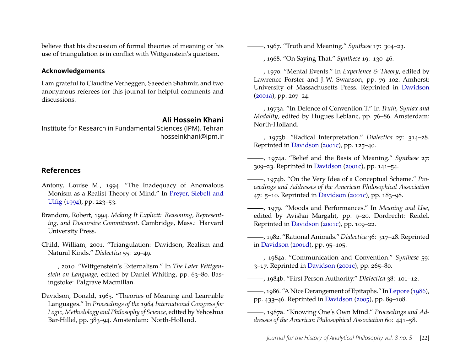believe that his discussion of formal theories of meaning or his use of triangulation is in conflict with Wittgenstein's quietism.

#### **Acknowledgements**

I am grateful to Claudine Verheggen, Saeedeh Shahmir, and two anonymous referees for this journal for helpful comments and discussions.

#### **Ali Hossein Khani**

Institute for Research in Fundamental Sciences (IPM), Tehran hosseinkhani@ipm.ir

#### **References**

- <span id="page-22-14"></span>Antony, Louise M., 1994. "The Inadequacy of Anomalous Monism as a Realist Theory of Mind." In [Preyer, Siebelt and](#page-26-22) [Ulfig](#page-26-22) [\(1994\)](#page-26-22), pp. 223–53.
- <span id="page-22-17"></span>Brandom, Robert, 1994. *Making It Explicit: Reasoning, Representing, and Discursive Commitment*. Cambridge, Mass.: Harvard University Press.
- <span id="page-22-15"></span>Child, William, 2001. "Triangulation: Davidson, Realism and Natural Kinds." *Dialectica* 55: 29–49.

<span id="page-22-11"></span>, 2010. "Wittgenstein's Externalism." In *The Later Wittgenstein on Language*, edited by Daniel Whiting, pp. 63–80. Basingstoke: Palgrave Macmillan.

<span id="page-22-0"></span>Davidson, Donald, 1965. "Theories of Meaning and Learnable Languages." In *Proceedings of the 1964 International Congress for Logic, Methodology and Philosophy of Science*, edited by Yehoshua Bar-Hillel, pp. 383–94. Amsterdam: North-Holland.

<span id="page-22-1"></span>, 1967. "Truth and Meaning." *Synthese* 17: 304–23.

<span id="page-22-2"></span>, 1968. "On Saying That." *Synthese* 19: 130–46.

- <span id="page-22-16"></span>, 1970. "Mental Events." In *Experience & Theory*, edited by Lawrence Forster and J.W. Swanson, pp. 79–102. Amherst: University of Massachusetts Press. Reprinted in [Davidson](#page-24-20) [\(2001a\)](#page-24-20), pp. 207–24.
- <span id="page-22-3"></span>, 1973a. "In Defence of Convention T." In *Truth, Syntax and Modality*, edited by Hugues Leblanc, pp. 76–86. Amsterdam: North-Holland.
- <span id="page-22-4"></span>, 1973b. "Radical Interpretation." *Dialectica* 27: 314–28. Reprinted in [Davidson](#page-24-17) [\(2001c\)](#page-24-17), pp. 125–40.
- <span id="page-22-5"></span>, 1974a. "Belief and the Basis of Meaning." *Synthese* 27: 309–23. Reprinted in [Davidson](#page-24-17) [\(2001c\)](#page-24-17), pp. 141–54.
- <span id="page-22-12"></span>, 1974b. "On the Very Idea of a Conceptual Scheme." *Proceedings and Addresses of the American Philosophical Association* 47: 5–10. Reprinted in [Davidson](#page-24-17) [\(2001c\)](#page-24-17), pp. 183–98.
- <span id="page-22-13"></span>, 1979. "Moods and Performances." In *Meaning and Use*, edited by Avishai Margalit, pp. 9–20. Dordrecht: Reidel. Reprinted in [Davidson](#page-24-17) [\(2001c\)](#page-24-17), pp. 109–22.
- <span id="page-22-10"></span>, 1982. "Rational Animals." *Dialectica* 36: 317–28. Reprinted in [Davidson](#page-24-9) [\(2001d\)](#page-24-9), pp. 95–105.
- <span id="page-22-6"></span>, 1984a. "Communication and Convention." *Synthese* 59: 3–17. Reprinted in [Davidson](#page-24-17) [\(2001c\)](#page-24-17), pp. 265–80.
- <span id="page-22-9"></span>, 1984b. "First Person Authority." *Dialectica* 38: 101–12.
- <span id="page-22-7"></span>, 1986. "A Nice Derangement of Epitaphs." In [Lepore](#page-25-20) [\(1986\)](#page-25-20), pp. 433–46. Reprinted in [Davidson](#page-24-21) [\(2005\)](#page-24-21), pp. 89–108.
- <span id="page-22-8"></span>, 1987a. "Knowing One's Own Mind." *Proceedings and Addresses of the American Philosophical Association* 60: 441–58.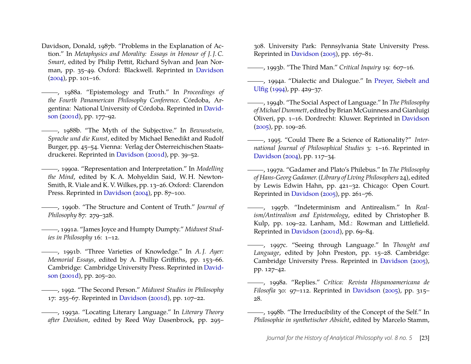<span id="page-23-16"></span>Davidson, Donald, 1987b. "Problems in the Explanation of Action." In *Metaphysics and Morality: Essays in Honour of J. J. C. Smart*, edited by Philip Pettit, Richard Sylvan and Jean Norman, pp. 35–49. Oxford: Blackwell. Reprinted in [Davidson](#page-24-22)  $(2004)$ , pp. 101–16.

<span id="page-23-14"></span>, 1988a. "Epistemology and Truth." In *Proceedings of the Fourth Panamerican Philosophy Conference*. Córdoba, Argentina: National University of Córdoba. Reprinted in [David](#page-24-9)[son](#page-24-9) [\(2001d\)](#page-24-9), pp. 177–92.

<span id="page-23-6"></span>, 1988b. "The Myth of the Subjective." In *Bewusstsein, Sprache und die Kunst*, edited by Michael Benedikt and Rudolf Burger, pp. 45–54. Vienna: Verlag der Österreichischen Staatsdruckerei. Reprinted in [Davidson](#page-24-9) [\(2001d\)](#page-24-9), pp. 39–52.

<span id="page-23-15"></span>, 1990a. "Representation and Interpretation." In *Modelling the Mind*, edited by K. A. Mohyeldin Said, W. H. Newton-Smith, R. Viale and K. V. Wilkes, pp. 13–26. Oxford: Clarendon Press. Reprinted in [Davidson](#page-24-22) [\(2004\)](#page-24-22), pp. 87–100.

<span id="page-23-13"></span>, 1990b. "The Structure and Content of Truth." *Journal of Philosophy* 87: 279–328.

<span id="page-23-4"></span>, 1991a. "James Joyce and Humpty Dumpty." *Midwest Studies in Philosophy* 16: 1–12.

<span id="page-23-0"></span>, 1991b. "Three Varieties of Knowledge." In *A. J. Ayer: Memorial Essays*, edited by A. Phillip Griffiths, pp. 153–66. Cambridge: Cambridge University Press. Reprinted in [David](#page-24-9)[son](#page-24-9) [\(2001d\)](#page-24-9), pp. 205–20.

<span id="page-23-1"></span>, 1992. "The Second Person." *Midwest Studies in Philosophy* 17: 255–67. Reprinted in [Davidson](#page-24-9) [\(2001d\)](#page-24-9), pp. 107–22.

<span id="page-23-5"></span>, 1993a. "Locating Literary Language." In *Literary Theory after Davidson*, edited by Reed Way Dasenbrock, pp. 295–

308. University Park: Pennsylvania State University Press. Reprinted in [Davidson](#page-24-21) [\(2005\)](#page-24-21), pp. 167–81.

<span id="page-23-8"></span>, 1993b. "The Third Man." *Critical Inquiry* 19: 607–16.

<span id="page-23-10"></span>, 1994a. "Dialectic and Dialogue." In [Preyer, Siebelt and](#page-26-22) [Ulfig](#page-26-22) [\(1994\)](#page-26-22), pp. 429–37.

<span id="page-23-2"></span>, 1994b. "The Social Aspect of Language." In *The Philosophy of Michael Dummett*, edited by Brian McGuinness and Gianluigi Oliveri, pp. 1–16. Dordrecht: Kluwer. Reprinted in [Davidson](#page-24-21)  $(2005)$ , pp. 109–26.

<span id="page-23-3"></span>, 1995. "Could There Be a Science of Rationality?" *International Journal of Philosophical Studies* 3: 1–16. Reprinted in [Davidson](#page-24-22) [\(2004\)](#page-24-22), pp. 117–34.

<span id="page-23-17"></span>, 1997a. "Gadamer and Plato's Philebus." In *The Philosophy of Hans-Georg Gadamer.* (*Library of Living Philosophers* 24), edited by Lewis Edwin Hahn, pp. 421–32. Chicago: Open Court. Reprinted in [Davidson](#page-24-21) [\(2005\)](#page-24-21), pp. 261–76.

<span id="page-23-12"></span>, 1997b. "Indeterminism and Antirealism." In *Realism/Antirealism and Epistemology*, edited by Christopher B. Kulp, pp. 109–22. Lanham, Md.: Rowman and Littlefield. Reprinted in [Davidson](#page-24-9) [\(2001d\)](#page-24-9), pp. 69–84.

<span id="page-23-7"></span>, 1997c. "Seeing through Language." In *Thought and Language*, edited by John Preston, pp. 15–28. Cambridge: Cambridge University Press. Reprinted in [Davidson](#page-24-21) [\(2005\)](#page-24-21), pp. 127–42.

<span id="page-23-11"></span>, 1998a. "Replies." *Crítica: Revista Hispanoamericana de Filosofía* 30: 97–112. Reprinted in [Davidson](#page-24-21) [\(2005\)](#page-24-21), pp. 315– 28.

<span id="page-23-9"></span>, 1998b. "The Irreducibility of the Concept of the Self." In *Philosophie in synthetischer Absicht*, edited by Marcelo Stamm,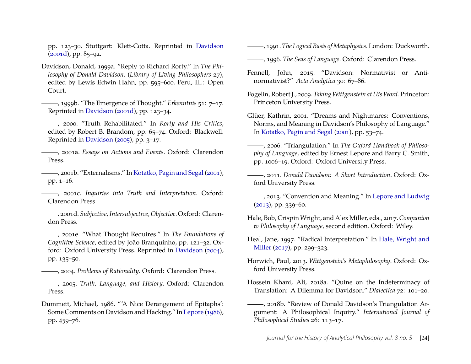pp. 123–30. Stuttgart: Klett-Cotta. Reprinted in [Davidson](#page-24-9)  $(2001d)$ , pp. 85–92.

- <span id="page-24-13"></span>Davidson, Donald, 1999a. "Reply to Richard Rorty." In *The Philosophy of Donald Davidson.* (*Library of Living Philosophers* 27), edited by Lewis Edwin Hahn, pp. 595–600. Peru, Ill.: Open Court.
- <span id="page-24-0"></span>, 1999b. "The Emergence of Thought." *Erkenntnis* 51: 7–17. Reprinted in [Davidson](#page-24-9) [\(2001d\)](#page-24-9), pp. 123–34.
- <span id="page-24-8"></span>, 2000. "Truth Rehabilitated." In *Rorty and His Critics*, edited by Robert B. Brandom, pp. 65–74. Oxford: Blackwell. Reprinted in [Davidson](#page-24-21) [\(2005\)](#page-24-21), pp. 3–17.
- <span id="page-24-20"></span>, 2001a. *Essays on Actions and Events*. Oxford: Clarendon Press.
- <span id="page-24-7"></span>, 2001b. "Externalisms." In [Kotatko, Pagin and Segal](#page-25-21) [\(2001\)](#page-25-21), pp. 1–16.
- <span id="page-24-17"></span>, 2001c. *Inquiries into Truth and Interpretation*. Oxford: Clarendon Press.
- <span id="page-24-9"></span>. 2001d. *Subjective, Intersubjective, Objective*. Oxford: Clarendon Press.
- <span id="page-24-1"></span>, 2001e. "What Thought Requires." In *The Foundations of Cognitive Science*, edited by João Branquinho, pp. 121–32. Oxford: Oxford University Press. Reprinted in [Davidson](#page-24-22) [\(2004\)](#page-24-22), pp. 135–50.
- <span id="page-24-22"></span>, 2004. *Problems of Rationality*. Oxford: Clarendon Press.
- <span id="page-24-21"></span>, 2005. *Truth, Language, and History*. Oxford: Clarendon Press.
- <span id="page-24-14"></span>Dummett, Michael, 1986. "'A Nice Derangement of Epitaphs': Some Comments on Davidson and Hacking." In [Lepore](#page-25-20) [\(1986\)](#page-25-20), pp. 459–76.

<span id="page-24-16"></span>, 1991. *The Logical Basis of Metaphysics*. London: Duckworth.

- <span id="page-24-15"></span>, 1996. *The Seas of Language*. Oxford: Clarendon Press.
- <span id="page-24-6"></span>Fennell, John, 2015. "Davidson: Normativist or Antinormativist?" *Acta Analytica* 30: 67–86.
- <span id="page-24-19"></span>Fogelin, Robert J., 2009. *TakingWittgenstein at HisWord*. Princeton: Princeton University Press.
- <span id="page-24-4"></span>Glüer, Kathrin, 2001. "Dreams and Nightmares: Conventions, Norms, and Meaning in Davidson's Philosophy of Language." In [Kotatko, Pagin and Segal](#page-25-21) [\(2001\)](#page-25-21), pp. 53–74.
- <span id="page-24-10"></span>, 2006. "Triangulation." In *The Oxford Handbook of Philosophy of Language*, edited by Ernest Lepore and Barry C. Smith, pp. 1006–19. Oxford: Oxford University Press.
- <span id="page-24-3"></span>, 2011. *Donald Davidson: A Short Introduction*. Oxford: Oxford University Press.
- <span id="page-24-5"></span>, 2013. "Convention and Meaning." In [Lepore and Ludwig](#page-25-22)  $(2013)$ , pp. 339–60.
- <span id="page-24-23"></span>Hale, Bob, CrispinWright, and Alex Miller, eds., 2017.*Companion to Philosophy of Language*, second edition. Oxford: Wiley.
- <span id="page-24-2"></span>Heal, Jane, 1997. "Radical Interpretation." In [Hale, Wright and](#page-24-23) [Miller](#page-24-23) [\(2017\)](#page-24-23), pp. 299–323.
- <span id="page-24-18"></span>Horwich, Paul, 2013. *Wittgenstein's Metaphilosophy*. Oxford: Oxford University Press.
- <span id="page-24-11"></span>Hossein Khani, Ali, 2018a. "Quine on the Indeterminacy of Translation: A Dilemma for Davidson." *Dialectica* 72: 101–20.
- <span id="page-24-12"></span>, 2018b. "Review of Donald Davidson's Triangulation Argument: A Philosophical Inquiry." *International Journal of Philosophical Studies* 26: 113–17.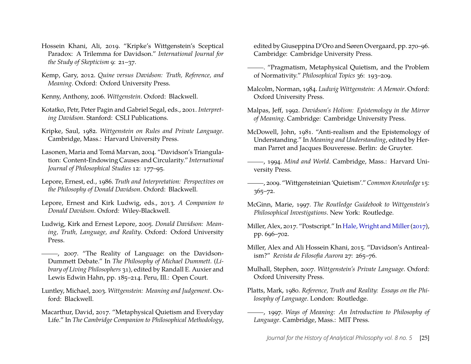- <span id="page-25-4"></span>Hossein Khani, Ali, 2019. "Kripke's Wittgenstein's Sceptical Paradox: A Trilemma for Davidson." *International Journal for the Study of Skepticism* 9: 21–37.
- <span id="page-25-5"></span>Kemp, Gary, 2012. *Quine versus Davidson: Truth, Reference, and Meaning*. Oxford: Oxford University Press.
- <span id="page-25-14"></span>Kenny, Anthony, 2006. *Wittgenstein*. Oxford: Blackwell.
- <span id="page-25-21"></span>Kotatko, Petr, Peter Pagin and Gabriel Segal, eds., 2001. *Interpreting Davidson*. Stanford: CSLI Publications.
- <span id="page-25-1"></span>Kripke, Saul, 1982. *Wittgenstein on Rules and Private Language*. Cambridge, Mass.: Harvard University Press.
- <span id="page-25-3"></span>Lasonen, Maria and Tomá Marvan, 2004. "Davidson's Triangulation: Content-Endowing Causes and Circularity." *International Journal of Philosophical Studies* 12: 177–95.
- <span id="page-25-20"></span>Lepore, Ernest, ed., 1986. *Truth and Interpretation: Perspectives on the Philosophy of Donald Davidson*. Oxford: Blackwell.
- <span id="page-25-22"></span>Lepore, Ernest and Kirk Ludwig, eds., 2013. *A Companion to Donald Davidson*. Oxford: Wiley-Blackwell.
- <span id="page-25-0"></span>Ludwig, Kirk and Ernest Lepore, 2005. *Donald Davidson: Meaning, Truth, Language, and Reality*. Oxford: Oxford University Press.
- <span id="page-25-7"></span>-, 2007. "The Reality of Language: on the Davidson-Dummett Debate." In *The Philosophy of Michael Dummett.* (*Library of Living Philosophers* 31), edited by Randall E. Auxier and Lewis Edwin Hahn, pp. 185–214. Peru, Ill.: Open Court.
- <span id="page-25-18"></span>Luntley, Michael, 2003. *Wittgenstein: Meaning and Judgement*. Oxford: Blackwell.
- <span id="page-25-17"></span>Macarthur, David, 2017. "Metaphysical Quietism and Everyday Life." In *The Cambridge Companion to Philosophical Methodology*,

edited by Giuseppina D'Oro and Søren Overgaard, pp. 270–96. Cambridge: Cambridge University Press.

- <span id="page-25-16"></span>. "Pragmatism, Metaphysical Quietism, and the Problem of Normativity." *Philosophical Topics* 36: 193–209.
- <span id="page-25-13"></span>Malcolm, Norman, 1984. *Ludwig Wittgenstein: A Memoir*. Oxford: Oxford University Press.
- <span id="page-25-9"></span>Malpas, Jeff, 1992. *Davidson's Holism: Epistemology in the Mirror of Meaning*. Cambridge: Cambridge University Press.
- <span id="page-25-6"></span>McDowell, John, 1981. "Anti-realism and the Epistemology of Understanding." In *Meaning and Understanding*, edited by Herman Parret and Jacques Bouveresse. Berlin: de Gruyter.

<span id="page-25-19"></span>, 1994. *Mind and World*. Cambridge, Mass.: Harvard University Press.

- <span id="page-25-11"></span>, 2009. "Wittgensteinian 'Quietism'."*Common Knowledge* 15: 365–72.
- <span id="page-25-12"></span>McGinn, Marie, 1997. *The Routledge Guidebook to Wittgenstein's Philosophical Investigations*. New York: Routledge.
- <span id="page-25-2"></span>Miller, Alex, 2017. "Postscript." In Hale, Wright and Miller (2017), pp. 696–702.
- <span id="page-25-10"></span>Miller, Alex and Ali Hossein Khani, 2015. "Davidson's Antirealism?" *Revista de Filosofia Aurora* 27: 265–76.
- <span id="page-25-15"></span>Mulhall, Stephen, 2007. *Wittgenstein's Private Language*. Oxford: Oxford University Press.
- Platts, Mark, 1980. *Reference, Truth and Reality: Essays on the Philosophy of Language*. London: Routledge.
- <span id="page-25-8"></span>, 1997. *Ways of Meaning: An Introduction to Philosophy of Language*. Cambridge, Mass.: MIT Press.